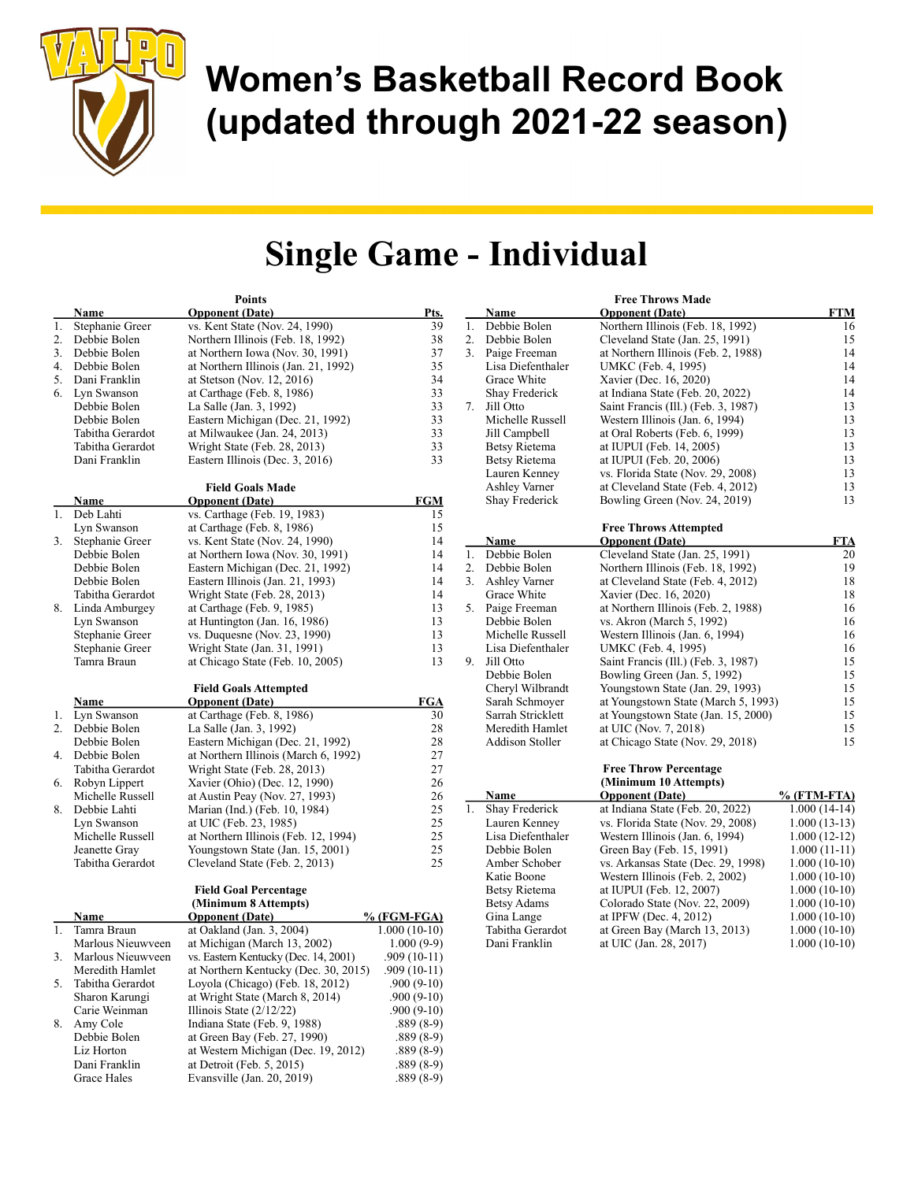

## Single Game - Individual

| <b>Opponent</b> (Date)<br><b>Opponent</b> (Date)<br>Pts.<br>Name<br><b>Name</b>                                                 | <b>Free Throws Made</b>                              |
|---------------------------------------------------------------------------------------------------------------------------------|------------------------------------------------------|
|                                                                                                                                 | <b>FTM</b>                                           |
| 1.<br>Debbie Bolen<br>vs. Kent State (Nov. 24, 1990)<br>39<br>1.<br>Stephanie Greer                                             | Northern Illinois (Feb. 18, 1992)<br>16              |
| 2.<br>38<br>Debbie Bolen<br>2.<br>Debbie Bolen<br>Northern Illinois (Feb. 18, 1992)                                             | 15<br>Cleveland State (Jan. 25, 1991)                |
| 37<br>3.<br>Paige Freeman<br>3.<br>Debbie Bolen<br>at Northern Iowa (Nov. 30, 1991)                                             | at Northern Illinois (Feb. 2, 1988)<br>14            |
| 4.<br>35<br>Lisa Diefenthaler<br>Debbie Bolen<br>at Northern Illinois (Jan. 21, 1992)                                           | 14<br>UMKC (Feb. 4, 1995)                            |
| 5.<br>34<br>Grace White<br>Dani Franklin<br>at Stetson (Nov. 12, 2016)                                                          | 14<br>Xavier (Dec. 16, 2020)                         |
| 33<br>Shay Frederick<br>6.<br>Lyn Swanson<br>at Carthage (Feb. 8, 1986)                                                         | at Indiana State (Feb. 20, 2022)<br>14               |
| 33<br>7.<br>Jill Otto<br>Debbie Bolen<br>La Salle (Jan. 3, 1992)                                                                | 13<br>Saint Francis (Ill.) (Feb. 3, 1987)            |
| 33<br>Debbie Bolen<br>Eastern Michigan (Dec. 21, 1992)<br>Michelle Russell                                                      | 13<br>Western Illinois (Jan. 6, 1994)                |
| 33<br>Jill Campbell<br>Tabitha Gerardot<br>at Milwaukee (Jan. 24, 2013)                                                         | 13<br>at Oral Roberts (Feb. 6, 1999)                 |
| 33<br><b>Betsy Rietema</b><br>Tabitha Gerardot<br>Wright State (Feb. 28, 2013)                                                  | 13<br>at IUPUI (Feb. 14, 2005)                       |
| 33<br><b>Betsy Rietema</b><br>Dani Franklin<br>Eastern Illinois (Dec. 3, 2016)                                                  | 13<br>at IUPUI (Feb. 20, 2006)                       |
| Lauren Kenney                                                                                                                   | vs. Florida State (Nov. 29, 2008)<br>13              |
| Ashley Varner<br><b>Field Goals Made</b>                                                                                        | at Cleveland State (Feb. 4, 2012)<br>13              |
| <b>FGM</b><br>Shay Frederick<br><b>Name</b><br><b>Opponent</b> (Date)                                                           | 13<br>Bowling Green (Nov. 24, 2019)                  |
| 1. Deb Lahti<br>vs. Carthage (Feb. 19, 1983)<br>15                                                                              |                                                      |
| 15<br>Lyn Swanson<br>at Carthage (Feb. 8, 1986)                                                                                 | <b>Free Throws Attempted</b>                         |
| 14<br>vs. Kent State (Nov. 24, 1990)<br><b>Opponent</b> (Date)<br>3. Stephanie Greer<br><b>Name</b>                             | <b>FTA</b>                                           |
| 1.<br>Debbie Bolen<br>14<br>Debbie Bolen<br>at Northern Iowa (Nov. 30, 1991)                                                    | Cleveland State (Jan. 25, 1991)<br>20                |
| 14<br>2. Debbie Bolen<br>Debbie Bolen<br>Eastern Michigan (Dec. 21, 1992)                                                       | 19<br>Northern Illinois (Feb. 18, 1992)              |
| 14<br>Debbie Bolen<br>3. Ashley Varner<br>Eastern Illinois (Jan. 21, 1993)                                                      | at Cleveland State (Feb. 4, 2012)<br>18              |
| 14<br>Grace White<br>Wright State (Feb. 28, 2013)<br>Tabitha Gerardot                                                           | 18<br>Xavier (Dec. 16, 2020)                         |
| 13<br>5. Paige Freeman<br>8. Linda Amburgey<br>at Carthage (Feb. 9, 1985)                                                       | at Northern Illinois (Feb. 2, 1988)<br>16            |
| 13<br>Debbie Bolen<br>Lyn Swanson<br>at Huntington (Jan. 16, 1986)                                                              | vs. Akron (March 5, 1992)<br>16                      |
| 13<br>Michelle Russell<br>Stephanie Greer<br>vs. Duquesne (Nov. 23, 1990)                                                       | 16<br>Western Illinois (Jan. 6, 1994)                |
| Lisa Diefenthaler<br>Stephanie Greer<br>Wright State (Jan. 31, 1991)<br>13                                                      | 16<br>UMKC (Feb. 4, 1995)                            |
| 9. Jill Otto<br>13<br>Tamra Braun<br>at Chicago State (Feb. 10, 2005)                                                           | Saint Francis (Ill.) (Feb. 3, 1987)<br>15            |
| Debbie Bolen                                                                                                                    | 15<br>Bowling Green (Jan. 5, 1992)                   |
| Cheryl Wilbrandt<br><b>Field Goals Attempted</b>                                                                                | 15<br>Youngstown State (Jan. 29, 1993)               |
| Sarah Schmoyer<br><b>Opponent</b> (Date)<br><b>FGA</b><br><u>Name</u>                                                           | 15<br>at Youngstown State (March 5, 1993)            |
| Sarrah Stricklett<br>1. Lyn Swanson<br>at Carthage (Feb. $8, 1986$ )<br>30                                                      | at Youngstown State (Jan. 15, 2000)<br>15            |
| 28<br>Meredith Hamlet<br>2. Debbie Bolen<br>La Salle (Jan. 3, 1992)                                                             | 15<br>at UIC (Nov. 7, 2018)                          |
| 28<br>Addison Stoller<br>Debbie Bolen<br>Eastern Michigan (Dec. 21, 1992)                                                       | at Chicago State (Nov. 29, 2018)<br>15               |
| 27<br>at Northern Illinois (March 6, 1992)<br>4. Debbie Bolen                                                                   |                                                      |
| 27<br>Tabitha Gerardot<br>Wright State (Feb. 28, 2013)                                                                          | <b>Free Throw Percentage</b>                         |
| 26<br>6. Robyn Lippert<br>Xavier (Ohio) (Dec. 12, 1990)                                                                         | (Minimum 10 Attempts)                                |
| 26<br>Name<br><b>Opponent</b> (Date)<br>Michelle Russell<br>at Austin Peay (Nov. 27, 1993)                                      | % (FTM-FTA)                                          |
| 1.<br>25<br>Shay Frederick<br>Debbie Lahti<br>Marian (Ind.) (Feb. 10, 1984)<br>8.                                               | $1.000(14-14)$<br>at Indiana State (Feb. 20, 2022)   |
| 25<br>Lauren Kenney<br>Lyn Swanson<br>at UIC (Feb. 23, 1985)                                                                    | vs. Florida State (Nov. 29, 2008)<br>$1.000(13-13)$  |
|                                                                                                                                 |                                                      |
|                                                                                                                                 |                                                      |
| 25<br>Lisa Diefenthaler<br>Michelle Russell<br>at Northern Illinois (Feb. 12, 1994)                                             | Western Illinois (Jan. 6, 1994)<br>$1.000(12-12)$    |
| 25<br>Debbie Bolen<br>Jeanette Gray<br>Youngstown State (Jan. 15, 2001)                                                         | Green Bay (Feb. 15, 1991)<br>$1.000(11-11)$          |
| 25<br>Amber Schober<br>Tabitha Gerardot<br>Cleveland State (Feb. 2, 2013)                                                       | vs. Arkansas State (Dec. 29, 1998)<br>$1.000(10-10)$ |
| Katie Boone                                                                                                                     | $1.000(10-10)$<br>Western Illinois (Feb. 2, 2002)    |
| <b>Field Goal Percentage</b><br>Betsy Rietema                                                                                   | at IUPUI (Feb. 12, 2007)<br>$1.000(10-10)$           |
| <b>Betsy Adams</b><br>(Minimum 8 Attempts)                                                                                      | Colorado State (Nov. 22, 2009)<br>$1.000(10-10)$     |
| % (FGM-FGA)<br>Gina Lange<br><b>Opponent</b> (Date)<br><b>Name</b>                                                              | at IPFW (Dec. 4, 2012)<br>$1.000(10-10)$             |
| 1. Tamra Braun<br>Tabitha Gerardot<br>at Oakland (Jan. 3, 2004)<br>$1.000(10-10)$                                               | $1.000(10-10)$<br>at Green Bay (March 13, 2013)      |
| Dani Franklin<br>Marlous Nieuwyeen<br>at Michigan (March 13, 2002)<br>$1.000(9-9)$                                              | at UIC (Jan. 28, 2017)<br>$1.000(10-10)$             |
| 3.<br>Marlous Nieuwveen<br>vs. Eastern Kentucky (Dec. 14, 2001)<br>$.909(10-11)$                                                |                                                      |
| Meredith Hamlet<br>at Northern Kentucky (Dec. 30, 2015)<br>$.909(10-11)$                                                        |                                                      |
| 5. Tabitha Gerardot<br>$.900(9-10)$<br>Loyola (Chicago) (Feb. 18, 2012)                                                         |                                                      |
| Sharon Karungi<br>at Wright State (March 8, 2014)<br>$.900(9-10)$                                                               |                                                      |
| Carie Weinman<br>Illinois State $(2/12/22)$<br>$.900(9-10)$                                                                     |                                                      |
| 8. Amy Cole<br>Indiana State (Feb. 9, 1988)<br>$.889(8-9)$                                                                      |                                                      |
| Debbie Bolen<br>at Green Bay (Feb. 27, 1990)<br>$.889(8-9)$<br>Liz Horton<br>at Western Michigan (Dec. 19, 2012)<br>$.889(8-9)$ |                                                      |

Grace Hales Evansville (Jan. 20, 2019) .889 (8-9)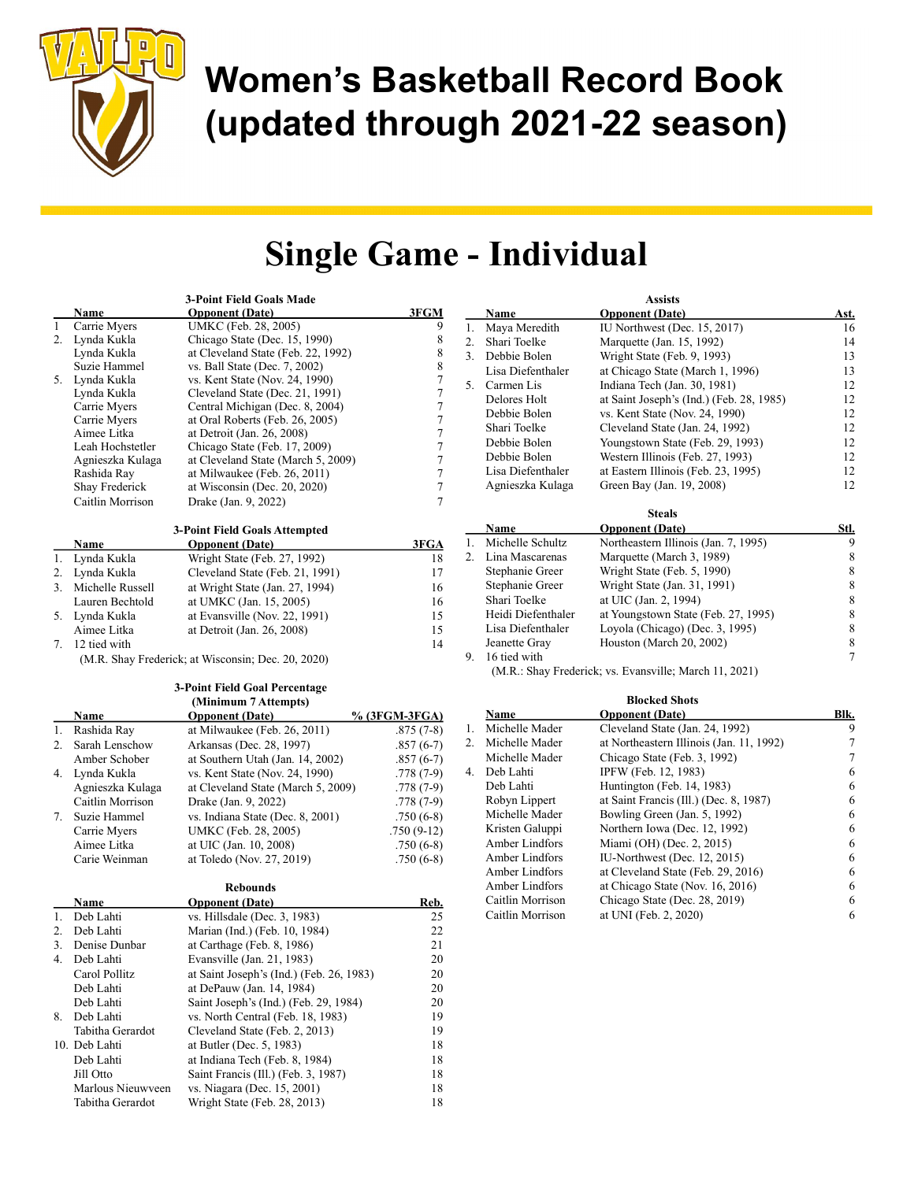

## Single Game - Individual

|    |                     | 3-Point Field Goals Made                                           |                  |    |                                   | <b>Assists</b>                                                       |                  |
|----|---------------------|--------------------------------------------------------------------|------------------|----|-----------------------------------|----------------------------------------------------------------------|------------------|
|    | Name                | <b>Opponent</b> (Date)                                             | 3FGM             |    | <u>Name</u>                       | <b>Opponent</b> (Date)                                               | <u>Ast.</u>      |
|    | Carrie Myers        | UMKC (Feb. 28, 2005)                                               | 9                | 1. | Maya Meredith                     | IU Northwest (Dec. 15, 2017)                                         | 16               |
|    | 2. Lynda Kukla      | Chicago State (Dec. 15, 1990)                                      | $\,$ $\,$        | 2. | Shari Toelke                      | Marquette (Jan. 15, 1992)                                            | 14               |
|    | Lynda Kukla         | at Cleveland State (Feb. 22, 1992)                                 | $\,$ $\,$        |    | 3. Debbie Bolen                   | Wright State (Feb. 9, 1993)                                          | 13               |
|    | Suzie Hammel        | vs. Ball State (Dec. 7, 2002)                                      | $\,$ $\,$        |    | Lisa Diefenthaler                 | at Chicago State (March 1, 1996)                                     | 13               |
|    | 5. Lynda Kukla      | vs. Kent State (Nov. 24, 1990)                                     | $\boldsymbol{7}$ |    | 5. Carmen Lis                     | Indiana Tech (Jan. 30, 1981)                                         | 12               |
|    | Lynda Kukla         | Cleveland State (Dec. 21, 1991)                                    | $\boldsymbol{7}$ |    | Delores Holt                      | at Saint Joseph's (Ind.) (Feb. 28, 1985)                             | 12               |
|    | Carrie Myers        | Central Michigan (Dec. 8, 2004)                                    | $\boldsymbol{7}$ |    | Debbie Bolen                      | vs. Kent State (Nov. 24, 1990)                                       | 12               |
|    | Carrie Myers        | at Oral Roberts (Feb. 26, 2005)                                    | $\boldsymbol{7}$ |    | Shari Toelke                      | Cleveland State (Jan. 24, 1992)                                      | 12               |
|    | Aimee Litka         | at Detroit (Jan. 26, 2008)                                         | 7                |    | Debbie Bolen                      | Youngstown State (Feb. 29, 1993)                                     | 12               |
|    | Leah Hochstetler    | Chicago State (Feb. 17, 2009)                                      | $\overline{7}$   |    | Debbie Bolen                      | Western Illinois (Feb. 27, 1993)                                     | 12               |
|    | Agnieszka Kulaga    | at Cleveland State (March 5, 2009)                                 | $\boldsymbol{7}$ |    |                                   |                                                                      |                  |
|    | Rashida Ray         | at Milwaukee (Feb. 26, 2011)                                       | $\overline{7}$   |    | Lisa Diefenthaler                 | at Eastern Illinois (Feb. 23, 1995)                                  | 12               |
|    | Shay Frederick      | at Wisconsin (Dec. 20, 2020)                                       | $\tau$           |    | Agnieszka Kulaga                  | Green Bay (Jan. 19, 2008)                                            | 12               |
|    | Caitlin Morrison    | Drake (Jan. 9, 2022)                                               | 7                |    |                                   |                                                                      |                  |
|    |                     |                                                                    |                  |    |                                   | <b>Steals</b>                                                        |                  |
|    |                     | 3-Point Field Goals Attempted                                      |                  |    | <b>Name</b>                       | <b>Opponent</b> (Date)                                               | Stl.             |
|    | Name                | <b>Opponent</b> (Date)                                             | 3FGA             | 1. | Michelle Schultz                  | Northeastern Illinois (Jan. 7, 1995)                                 | $\boldsymbol{9}$ |
| 1. | Lynda Kukla         | Wright State (Feb. 27, 1992)                                       | 18               |    | 2. Lina Mascarenas                | Marquette (March 3, 1989)                                            | $\,8\,$          |
| 2. | Lynda Kukla         | Cleveland State (Feb. 21, 1991)                                    | 17               |    | Stephanie Greer                   | Wright State (Feb. 5, 1990)                                          | $\,$ $\,$        |
|    | 3. Michelle Russell | at Wright State (Jan. 27, 1994)                                    | 16               |    | Stephanie Greer                   | Wright State (Jan. 31, 1991)                                         | $\,$ $\,$        |
|    | Lauren Bechtold     | at UMKC (Jan. 15, 2005)                                            | 16               |    | Shari Toelke                      | at UIC (Jan. 2, 1994)                                                | $\,$ $\,$        |
|    | 5. Lynda Kukla      | at Evansville (Nov. 22, 1991)                                      | 15               |    | Heidi Diefenthaler                | at Youngstown State (Feb. 27, 1995)                                  | $\,$ $\,$        |
|    | Aimee Litka         | at Detroit (Jan. 26, 2008)                                         | 15               |    | Lisa Diefenthaler                 | Loyola (Chicago) (Dec. 3, 1995)                                      | $\,$ $\,$        |
|    | 7. 12 tied with     |                                                                    | 14               |    | Jeanette Gray                     | Houston (March 20, 2002)                                             | $\,$ $\,$        |
|    |                     | (M.R. Shay Frederick; at Wisconsin; Dec. 20, 2020)                 |                  |    | 9. 16 tied with                   |                                                                      | $\tau$           |
|    |                     |                                                                    |                  |    |                                   | (M.R.: Shay Frederick; vs. Evansville; March 11, 2021)               |                  |
|    |                     | 3-Point Field Goal Percentage                                      |                  |    |                                   |                                                                      |                  |
|    |                     | (Minimum 7 Attempts)                                               |                  |    |                                   | <b>Blocked Shots</b>                                                 |                  |
|    | <b>Name</b>         | <b>Opponent (Date)</b>                                             | % (3FGM-3FGA)    |    | Name                              | <b>Opponent</b> (Date)                                               | Blk.             |
| 1. | Rashida Ray         | at Milwaukee (Feb. 26, 2011)                                       | $.875(7-8)$      |    | 1. Michelle Mader                 | Cleveland State (Jan. 24, 1992)                                      | 9                |
|    | 2. Sarah Lenschow   | Arkansas (Dec. 28, 1997)                                           | $.857(6-7)$      |    | 2. Michelle Mader                 | at Northeastern Illinois (Jan. 11, 1992)                             | $\tau$           |
|    | Amber Schober       | at Southern Utah (Jan. 14, 2002)                                   | $.857(6-7)$      |    | Michelle Mader                    | Chicago State (Feb. 3, 1992)                                         | $\boldsymbol{7}$ |
|    |                     |                                                                    |                  |    | 4. Deb Lahti                      | IPFW (Feb. 12, 1983)                                                 | 6                |
|    |                     |                                                                    |                  |    |                                   |                                                                      |                  |
|    | 4. Lynda Kukla      | vs. Kent State (Nov. 24, 1990)                                     | $.778(7-9)$      |    | Deb Lahti                         |                                                                      |                  |
|    | Agnieszka Kulaga    | at Cleveland State (March 5, 2009)                                 | $.778(7-9)$      |    |                                   | Huntington (Feb. 14, 1983)<br>at Saint Francis (Ill.) (Dec. 8, 1987) | 6                |
|    | Caitlin Morrison    | Drake (Jan. 9, 2022)                                               | $.778(7-9)$      |    | Robyn Lippert                     |                                                                      | 6                |
|    | 7. Suzie Hammel     | vs. Indiana State (Dec. 8, 2001)                                   | $.750(6-8)$      |    | Michelle Mader                    | Bowling Green (Jan. 5, 1992)                                         | 6                |
|    | Carrie Myers        | UMKC (Feb. 28, 2005)                                               | $.750(9-12)$     |    | Kristen Galuppi<br>Amber Lindfors | Northern Iowa (Dec. 12, 1992)                                        | $\sqrt{6}$       |
|    | Aimee Litka         | at UIC (Jan. 10, 2008)                                             | $.750(6-8)$      |    |                                   | Miami (OH) (Dec. 2, 2015)                                            | 6                |
|    | Carie Weinman       | at Toledo (Nov. 27, 2019)                                          | $.750(6-8)$      |    | Amber Lindfors                    | IU-Northwest (Dec. 12, 2015)                                         | 6                |
|    |                     |                                                                    |                  |    | Amber Lindfors                    | at Cleveland State (Feb. 29, 2016)                                   | 6                |
|    |                     | <b>Rebounds</b>                                                    |                  |    | Amber Lindfors                    | at Chicago State (Nov. 16, 2016)                                     | 6                |
|    | Name                | <b>Opponent</b> (Date)                                             | Reb.             |    | Caitlin Morrison                  | Chicago State (Dec. 28, 2019)                                        | 6                |
| 1. | Deb Lahti           | vs. Hillsdale (Dec. 3, 1983)                                       | 25               |    | Caitlin Morrison                  | at UNI (Feb. 2, 2020)                                                | 6                |
| 2. | Deb Lahti           | Marian (Ind.) (Feb. 10, 1984)                                      | $22\,$           |    |                                   |                                                                      |                  |
|    | 3. Denise Dunbar    | at Carthage (Feb. 8, 1986)                                         | 21               |    |                                   |                                                                      |                  |
| 4. | Deb Lahti           | Evansville (Jan. 21, 1983)                                         | 20               |    |                                   |                                                                      |                  |
|    | Carol Pollitz       | at Saint Joseph's (Ind.) (Feb. 26, 1983)                           | 20               |    |                                   |                                                                      |                  |
|    | Deb Lahti           | at DePauw (Jan. 14, 1984)                                          | 20               |    |                                   |                                                                      |                  |
|    | Deb Lahti           | Saint Joseph's (Ind.) (Feb. 29, 1984)                              | 20               |    |                                   |                                                                      |                  |
| 8. | Deb Lahti           | vs. North Central (Feb. 18, 1983)                                  | 19               |    |                                   |                                                                      |                  |
|    | Tabitha Gerardot    | Cleveland State (Feb. 2, 2013)                                     | 19               |    |                                   |                                                                      |                  |
|    | 10. Deb Lahti       | at Butler (Dec. 5, 1983)                                           | 18               |    |                                   |                                                                      |                  |
|    | Deb Lahti           | at Indiana Tech (Feb. 8, 1984)                                     | 18               |    |                                   |                                                                      |                  |
|    | Jill Otto           | Saint Francis (Ill.) (Feb. 3, 1987)<br>vs. Niagara (Dec. 15, 2001) | 18<br>18         |    |                                   |                                                                      |                  |

Tabitha Gerardot Wright State (Feb. 28, 2013) 18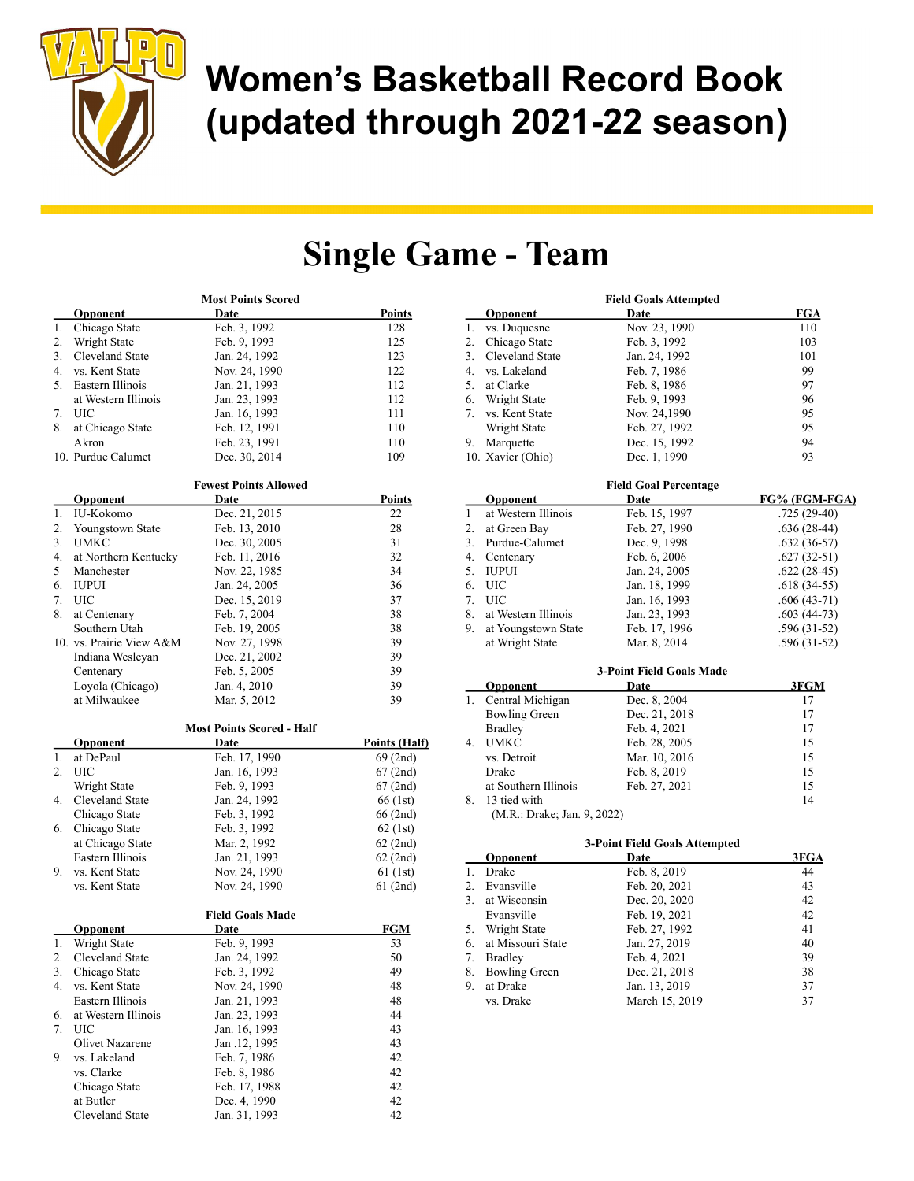

## Single Game - Team

|    | <b>Most Points Scored</b> |                                  |                       |  |
|----|---------------------------|----------------------------------|-----------------------|--|
|    | <b>Opponent</b>           | Date                             | <u>Points</u>         |  |
| 1. | Chicago State             | Feb. 3, 1992                     | 128                   |  |
| 2. | Wright State              | Feb. 9, 1993                     | 125                   |  |
| 3. | Cleveland State           | Jan. 24, 1992                    | 123                   |  |
| 4. | vs. Kent State            | Nov. 24, 1990                    | 122                   |  |
| 5. | Eastern Illinois          | Jan. 21, 1993                    | 112                   |  |
|    | at Western Illinois       | Jan. 23, 1993                    | 112                   |  |
| 7. | UIC                       | Jan. 16, 1993                    | 111                   |  |
| 8. | at Chicago State          | Feb. 12, 1991                    | 110                   |  |
|    | Akron                     | Feb. 23, 1991                    | 110                   |  |
|    | 10. Purdue Calumet        | Dec. 30, 2014                    | 109                   |  |
|    |                           |                                  |                       |  |
|    |                           | <b>Fewest Points Allowed</b>     |                       |  |
|    | Opponent                  | Date                             | <b>Points</b>         |  |
| 1. | IU-Kokomo                 | Dec. 21, 2015                    | 22                    |  |
| 2. | Youngstown State          | Feb. 13, 2010                    | 28                    |  |
| 3. | <b>UMKC</b>               | Dec. 30, 2005                    | 31                    |  |
| 4. | at Northern Kentucky      | Feb. 11, 2016                    | 32                    |  |
| 5  | Manchester                | Nov. 22, 1985                    | 34                    |  |
| 6. | <b>IUPUI</b>              | Jan. 24, 2005                    | 36                    |  |
| 7. | UIC                       | Dec. 15, 2019                    | 37                    |  |
| 8. | at Centenary              | Feb. 7, 2004                     | 38                    |  |
|    | Southern Utah             | Feb. 19, 2005                    | 38                    |  |
|    | 10. vs. Prairie View A&M  | Nov. 27, 1998                    | 39                    |  |
|    | Indiana Wesleyan          | Dec. 21, 2002                    | 39                    |  |
|    | Centenary                 | Feb. 5, 2005                     | 39                    |  |
|    | Loyola (Chicago)          | Jan. 4, 2010                     | 39                    |  |
|    | at Milwaukee              | Mar. 5, 2012                     | 39                    |  |
|    |                           |                                  |                       |  |
|    |                           | <b>Most Points Scored - Half</b> |                       |  |
|    | <b>Opponent</b>           | Date                             | <u> Points (Half)</u> |  |
| 1. | at DePaul                 | Feb. 17, 1990                    | 69 (2nd)              |  |
| 2. | <b>UIC</b>                | Jan. 16, 1993                    | 67(2nd)               |  |
|    | Wright State              | Feb. 9, 1993                     | 67(2nd)               |  |
| 4. | Cleveland State           | Jan. 24, 1992                    | 66 (1st)              |  |
|    | Chicago State             | Feb. 3, 1992                     | 66 (2nd)              |  |
| 6. | Chicago State             | Feb. 3, 1992                     | $62$ (1st)            |  |
|    | at Chicago State          | Mar. 2, 1992                     | $62$ (2nd)            |  |
|    | Eastern Illinois          | Jan. 21, 1993                    | $62$ (2nd)            |  |
| 9. | vs. Kent State            | Nov. 24, 1990                    | $61$ (1st)            |  |
|    | vs. Kent State            | Nov. 24, 1990                    | $61$ (2nd)            |  |
|    |                           |                                  |                       |  |
|    |                           | <b>Field Goals Made</b>          |                       |  |
|    | Opponent                  | Date                             | <b>FGM</b>            |  |
| 1. | Wright State              | Feb. 9, 1993                     | 53                    |  |
| 2. | Cleveland State           | Jan. 24, 1992                    | 50                    |  |
| 3. | Chicago State             | Feb. 3, 1992                     | 49                    |  |
| 4. | vs. Kent State            | Nov. 24, 1990                    | 48                    |  |
|    | Eastern Illinois          | Jan. 21, 1993                    | 48                    |  |
| 6. | at Western Illinois       | Jan. 23, 1993                    | 44                    |  |
| 7. | UIC                       | Jan. 16, 1993                    | 43                    |  |
|    | Olivet Nazarene           | Jan .12, 1995                    | 43                    |  |
| 9. | vs. Lakeland              | Feb. 7, 1986                     | 42                    |  |
|    | vs. Clarke                | Feb. 8, 1986                     | 42                    |  |

Chicago State Feb. 17, 1988 42<br>at Butler Dec. 4, 1990 42 at Butler Dec. 4, 1990 42<br>Cleveland State Jan. 31, 1993 42

Cleveland State

|              | <b>Field Goals Attempted</b> |                                      |               |  |
|--------------|------------------------------|--------------------------------------|---------------|--|
|              | <b>Opponent</b>              | Date                                 | <b>FGA</b>    |  |
| 1.           | vs. Duquesne                 | Nov. 23, 1990                        | 110           |  |
| 2.           | Chicago State                | Feb. 3, 1992                         | 103           |  |
| 3.           | Cleveland State              | Jan. 24, 1992                        | 101           |  |
| 4.           | vs. Lakeland                 | Feb. 7, 1986                         | 99            |  |
| 5.           | at Clarke                    | Feb. 8, 1986                         | 97            |  |
| 6.           | Wright State                 | Feb. 9, 1993                         | 96            |  |
| 7.           | vs. Kent State               | Nov. 24,1990                         | 95            |  |
|              | Wright State                 | Feb. 27, 1992                        | 95            |  |
| 9.           | Marquette                    | Dec. 15, 1992                        | 94            |  |
|              | 10. Xavier (Ohio)            | Dec. 1, 1990                         | 93            |  |
|              |                              | <b>Field Goal Percentage</b>         |               |  |
|              | <b>Opponent</b>              | Date                                 | FG% (FGM-FGA) |  |
| $\mathbf{1}$ | at Western Illinois          | Feb. 15, 1997                        | $.725(29-40)$ |  |
| 2.           | at Green Bay                 | Feb. 27, 1990                        | $.636(28-44)$ |  |
| 3.           | Purdue-Calumet               | Dec. 9, 1998                         | $.632(36-57)$ |  |
| 4.           | Centenary                    | Feb. 6, 2006                         | $.627(32-51)$ |  |
| 5.           | <b>IUPUI</b>                 | Jan. 24, 2005                        | $.622(28-45)$ |  |
| 6.           | <b>UIC</b>                   | Jan. 18, 1999                        | $.618(34-55)$ |  |
| 7.           | <b>UIC</b>                   | Jan. 16, 1993                        | $.606(43-71)$ |  |
| 8.           | at Western Illinois          | Jan. 23, 1993                        | $.603(44-73)$ |  |
| 9.           | at Youngstown State          | Feb. 17, 1996                        | $.596(31-52)$ |  |
|              | at Wright State              | Mar. 8, 2014                         | $.596(31-52)$ |  |
|              |                              | <b>3-Point Field Goals Made</b>      |               |  |
|              | Opponent                     | Date                                 | 3FGM          |  |
| 1.           | Central Michigan             | Dec. 8, 2004                         | 17            |  |
|              | <b>Bowling Green</b>         | Dec. 21, 2018                        | 17            |  |
|              | <b>Bradley</b>               | Feb. 4, 2021                         | 17            |  |
| 4.           | <b>UMKC</b>                  | Feb. 28, 2005                        | 15            |  |
|              | vs. Detroit                  | Mar. 10, 2016                        | 15            |  |
|              | Drake                        | Feb. 8, 2019                         | 15            |  |
|              | at Southern Illinois         | Feb. 27, 2021                        | 15            |  |
| 8.           | 13 tied with                 |                                      | 14            |  |
|              | (M.R.: Drake; Jan. 9, 2022)  |                                      |               |  |
|              |                              | <b>3-Point Field Goals Attempted</b> |               |  |
|              | Opponent                     | Date                                 | 3FGA          |  |
| 1.           | <b>Drake</b>                 | Feb. 8, 2019                         | 44            |  |
| 2.           | Evansville                   | Feb. 20, 2021                        | 43            |  |
| 3.           | at Wisconsin                 | Dec. 20, 2020                        | 42            |  |
|              | Evansville                   | Feb. 19, 2021                        | 42            |  |
| 5.           | Wright State                 | Feb. 27, 1992                        | 41            |  |

| 5. Wright State      | Feb. 27, 1992  | 41 |
|----------------------|----------------|----|
| 6. at Missouri State | Jan. 27, 2019  | 40 |
| 7. Bradley           | Feb. 4, 2021   | 39 |
| 8. Bowling Green     | Dec. 21, 2018  | 38 |
| 9. at Drake          | Jan. 13, 2019  | 37 |
| vs. Drake            | March 15, 2019 | 37 |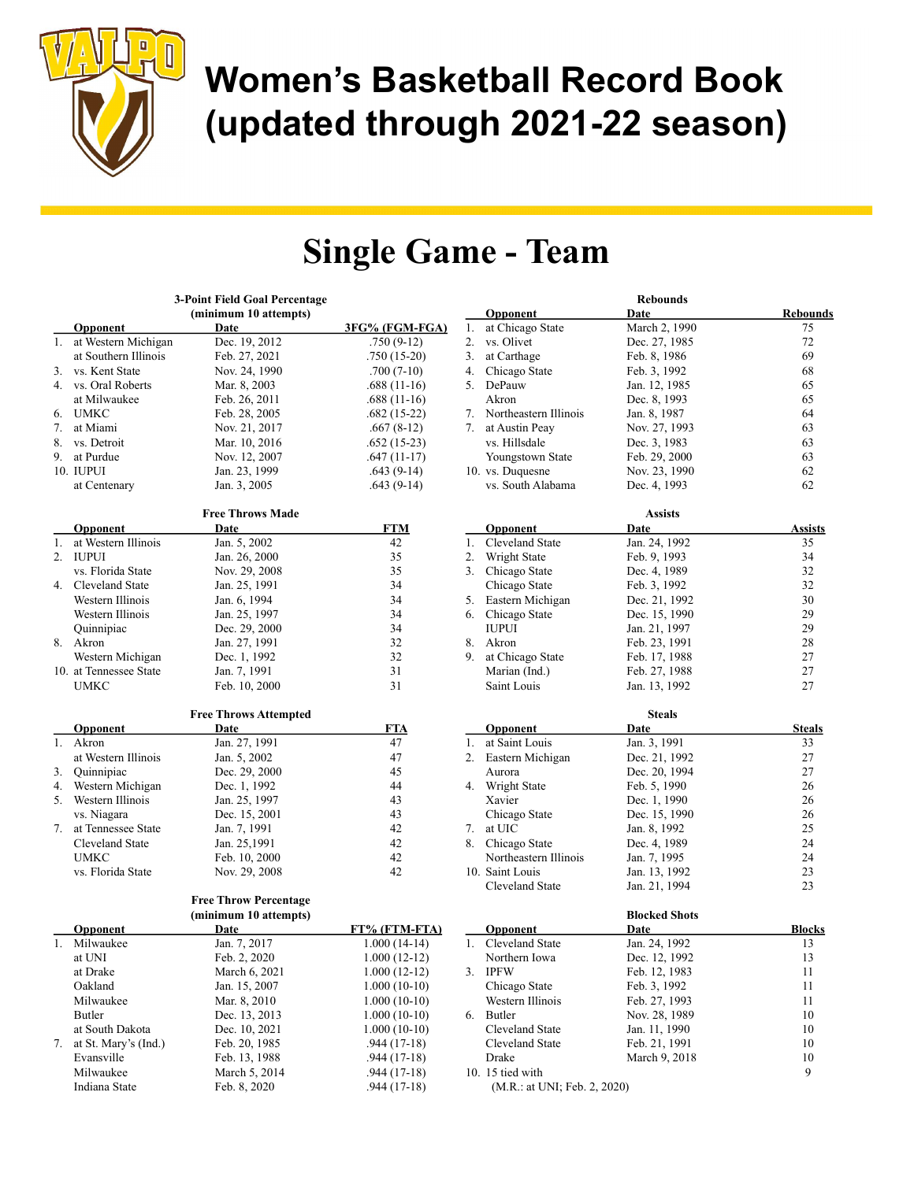

### Single Game - Team

|    |                        | 3-Point Field Goal Percentage |                |  |  |
|----|------------------------|-------------------------------|----------------|--|--|
|    | (minimum 10 attempts)  |                               |                |  |  |
|    | <b>Opponent</b>        | Date                          | 3FG% (FGM-FGA) |  |  |
| 1. | at Western Michigan    | Dec. 19, 2012                 | .750 (9-12)    |  |  |
|    | at Southern Illinois   | Feb. 27, 2021                 | $.750(15-20)$  |  |  |
| 3. | vs. Kent State         | Nov. 24, 1990                 | $.700(7-10)$   |  |  |
| 4. | vs. Oral Roberts       | Mar. 8, 2003                  | $.688(11-16)$  |  |  |
|    | at Milwaukee           | Feb. 26, 2011                 | $.688(11-16)$  |  |  |
| 6. | <b>UMKC</b>            | Feb. 28, 2005                 | $.682(15-22)$  |  |  |
| 7. | at Miami               | Nov. 21, 2017                 | $.667(8-12)$   |  |  |
| 8. | vs. Detroit            | Mar. 10, 2016                 | $.652(15-23)$  |  |  |
| 9. | at Purdue              | Nov. 12, 2007                 | $.647(11-17)$  |  |  |
|    | 10. IUPUI              | Jan. 23, 1999                 | $.643(9-14)$   |  |  |
|    | at Centenary           | Jan. 3, 2005                  | $.643(9-14)$   |  |  |
|    |                        | <b>Free Throws Made</b>       |                |  |  |
|    | <b>Opponent</b>        | <u>Date</u>                   | <u>FTM</u>     |  |  |
| 1. | at Western Illinois    | Jan. 5, 2002                  | 42             |  |  |
| 2. | <b>IUPUI</b>           | Jan. 26, 2000                 | 35             |  |  |
|    | vs. Florida State      | Nov. 29, 2008                 | 35             |  |  |
| 4. | Cleveland State        | Jan. 25, 1991                 | 34             |  |  |
|    |                        | Jan. 6, 1994                  |                |  |  |
|    | Western Illinois       |                               | 34             |  |  |
|    | Western Illinois       | Jan. 25, 1997                 | 34             |  |  |
|    | Quinnipiac             | Dec. 29, 2000                 | 34             |  |  |
| 8. | Akron                  | Jan. 27, 1991                 | 32             |  |  |
|    | Western Michigan       | Dec. 1, 1992                  | 32             |  |  |
|    | 10. at Tennessee State | Jan. 7, 1991                  | 31             |  |  |
|    | <b>UMKC</b>            | Feb. 10, 2000                 | 31             |  |  |
|    |                        | <b>Free Throws Attempted</b>  |                |  |  |
|    | <b>Opponent</b>        | Date                          | <b>FTA</b>     |  |  |
| 1. | Akron                  | Jan. 27, 1991                 | 47             |  |  |
|    | at Western Illinois    | Jan. 5, 2002                  | 47             |  |  |
| 3. | Quinnipiac             | Dec. 29, 2000                 | 45             |  |  |
| 4. | Western Michigan       | Dec. 1, 1992                  | 44             |  |  |
| 5. | Western Illinois       | Jan. 25, 1997                 | 43             |  |  |
|    | vs. Niagara            | Dec. 15, 2001                 | 43             |  |  |
| 7. | at Tennessee State     | Jan. 7, 1991                  | 42             |  |  |
|    | Cleveland State        | Jan. 25,1991                  | 42             |  |  |
|    | <b>UMKC</b>            | Feb. 10, 2000                 | 42             |  |  |
|    | vs. Florida State      | Nov. 29, 2008                 | 42             |  |  |
|    |                        | <b>Free Throw Percentage</b>  |                |  |  |
|    |                        | (minimum 10 attempts)         |                |  |  |
|    | <b>Opponent</b>        | <b>Date</b>                   | FT% (FTM-FTA)  |  |  |
| 1. | Milwaukee              | Jan. 7, 2017                  | $1.000(14-14)$ |  |  |
|    | at UNI                 | Feb. 2, 2020                  | $1.000(12-12)$ |  |  |
|    | at Drake               | March 6, 2021                 | $1.000(12-12)$ |  |  |
|    | Oakland                | Jan. 15, 2007                 | $1.000(10-10)$ |  |  |
|    | Milwaukee              | Mar. 8, 2010                  | $1.000(10-10)$ |  |  |
|    | Butler                 | Dec. 13, 2013                 | $1.000(10-10)$ |  |  |
|    | at South Dakota        | Dec. 10, 2021                 | $1.000(10-10)$ |  |  |
| 7. | at St. Mary's (Ind.)   | Feb. 20, 1985                 | $.944(17-18)$  |  |  |
|    | Evansville             | Feb. 13, 1988                 | $.944(17-18)$  |  |  |
|    | Milwaukee              | March 5, 2014                 | $.944(17-18)$  |  |  |
|    | Indiana State          | Feb. 8, 2020                  | $.944(17-18)$  |  |  |
|    |                        |                               |                |  |  |

|    |                              | <b>Rebounds</b>      |                 |
|----|------------------------------|----------------------|-----------------|
|    | <b>Opponent</b>              | <b>Date</b>          | <u>Rebounds</u> |
| 1. | at Chicago State             | March 2, 1990        | 75              |
| 2. | vs. Olivet                   | Dec. 27, 1985        | 72              |
| 3. | at Carthage                  | Feb. 8, 1986         | 69              |
| 4. | Chicago State                | Feb. 3, 1992         | 68              |
| 5. | DePauw                       | Jan. 12, 1985        | 65              |
|    | Akron                        | Dec. 8, 1993         | 65              |
| 7. | Northeastern Illinois        | Jan. 8, 1987         | 64              |
| 7. | at Austin Peay               | Nov. 27, 1993        | 63              |
|    | vs. Hillsdale                | Dec. 3, 1983         | 63              |
|    | Youngstown State             | Feb. 29, 2000        | 63              |
|    | 10. vs. Duquesne             | Nov. 23, 1990        | 62              |
|    | vs. South Alabama            |                      | 62              |
|    |                              | Dec. 4, 1993         |                 |
|    |                              |                      |                 |
|    |                              | <b>Assists</b>       |                 |
|    | <b>Opponent</b>              | Date                 | <u>Assists</u>  |
| 1. | Cleveland State              | Jan. 24, 1992        | 35              |
| 2. | Wright State                 | Feb. 9, 1993         | 34              |
| 3. | Chicago State                | Dec. 4, 1989         | 32              |
|    | Chicago State                | Feb. 3, 1992         | 32              |
| 5. | Eastern Michigan             | Dec. 21, 1992        | 30              |
| 6. | Chicago State                | Dec. 15, 1990        | 29              |
|    | <b>IUPUI</b>                 | Jan. 21, 1997        | 29              |
| 8. | Akron                        | Feb. 23, 1991        | 28              |
| 9. | at Chicago State             | Feb. 17, 1988        | 27              |
|    | Marian (Ind.)                | Feb. 27, 1988        | 27              |
|    | Saint Louis                  | Jan. 13, 1992        | 27              |
|    |                              |                      |                 |
|    |                              | <b>Steals</b>        |                 |
|    | <b>Opponent</b>              | Date                 | <b>Steals</b>   |
| 1. | at Saint Louis               | Jan. 3, 1991         | 33              |
| 2. | Eastern Michigan             | Dec. 21, 1992        | 27              |
|    | Aurora                       | Dec. 20, 1994        | 27              |
| 4. | Wright State                 | Feb. 5, 1990         | 26              |
|    | Xavier                       | Dec. 1, 1990         | 26              |
|    | Chicago State                | Dec. 15, 1990        | 26              |
| 7. | at UIC                       | Jan. 8, 1992         | 25              |
| 8. | Chicago State                | Dec. 4, 1989         | 24              |
|    | Northeastern Illinois        | Jan. 7, 1995         | 24              |
|    | 10. Saint Louis              | Jan. 13, 1992        | 23              |
|    | Cleveland State              | Jan. 21, 1994        | 23              |
|    |                              |                      |                 |
|    |                              | <b>Blocked Shots</b> |                 |
|    | <b>Opponent</b>              | Date                 | <u>Blocks</u>   |
| 1. | Cleveland State              | Jan. 24, 1992        | 13              |
|    | Northern Iowa                | Dec. 12, 1992        | 13              |
| 3. |                              | Feb. 12, 1983        |                 |
|    | <b>IPFW</b>                  |                      | 11              |
|    | Chicago State                | Feb. 3, 1992         | 11              |
|    | Western Illinois             | Feb. 27, 1993        | 11              |
| 6. | Butler                       | Nov. 28, 1989        | 10              |
|    | Cleveland State              | Jan. 11, 1990        | 10              |
|    | Cleveland State              | Feb. 21, 1991        | 10              |
|    | Drake                        | March 9, 2018        | 10              |
|    | 10. 15 tied with             |                      | 9               |
|    | (M.R.: at UNI; Feb. 2, 2020) |                      |                 |
|    |                              |                      |                 |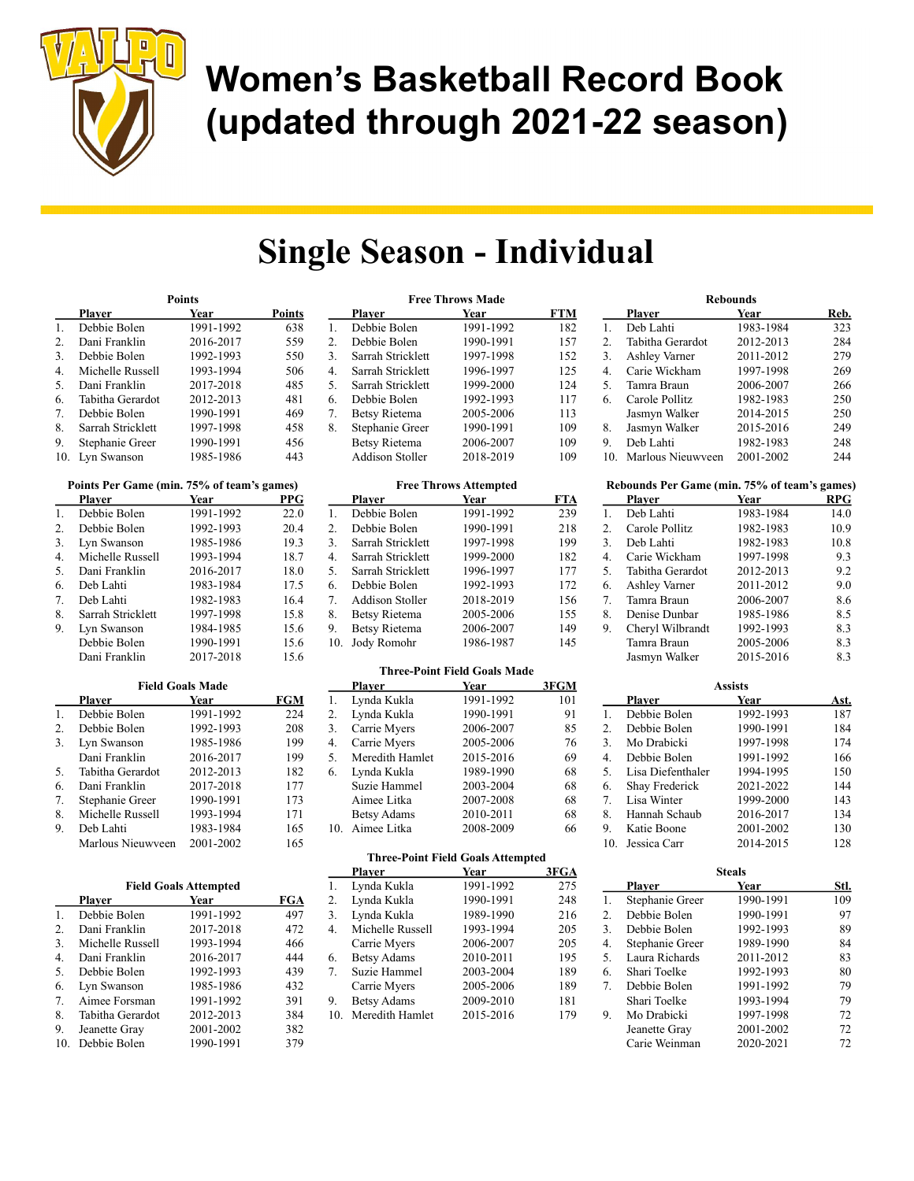

## Single Season - Individual

|                | <b>Points</b>     |           |               |  |
|----------------|-------------------|-----------|---------------|--|
|                | Plaver            | Year      | <b>Points</b> |  |
| $\mathbf{1}$ . | Debbie Bolen      | 1991-1992 | 638           |  |
| 2.             | Dani Franklin     | 2016-2017 | 559           |  |
| 3.             | Debbie Bolen      | 1992-1993 | 550           |  |
| 4.             | Michelle Russell  | 1993-1994 | 506           |  |
| 5.             | Dani Franklin     | 2017-2018 | 485           |  |
| 6.             | Tabitha Gerardot  | 2012-2013 | 481           |  |
| 7.             | Debbie Bolen      | 1990-1991 | 469           |  |
| 8.             | Sarrah Stricklett | 1997-1998 | 458           |  |
| 9.             | Stephanie Greer   | 1990-1991 | 456           |  |
| 10.            | Lyn Swanson       | 1985-1986 | 443           |  |

|     | Points Per Game (min. 75% of team's games) |           |      |  |  |
|-----|--------------------------------------------|-----------|------|--|--|
|     | Plaver                                     | Year      | PPG  |  |  |
| 1.  | Debbie Bolen                               | 1991-1992 | 22.0 |  |  |
| 2.  | Debbie Bolen                               | 1992-1993 | 20.4 |  |  |
| 3.  | Lyn Swanson                                | 1985-1986 | 19.3 |  |  |
| 4.  | Michelle Russell                           | 1993-1994 | 18.7 |  |  |
| .5. | Dani Franklin                              | 2016-2017 | 18.0 |  |  |
| 6.  | Deb Lahti                                  | 1983-1984 | 17.5 |  |  |
| 7.  | Deb Lahti                                  | 1982-1983 | 16.4 |  |  |
| 8.  | Sarrah Stricklett                          | 1997-1998 | 15.8 |  |  |
| 9.  | Lyn Swanson                                | 1984-1985 | 15.6 |  |  |
|     | Debbie Bolen                               | 1990-1991 | 15.6 |  |  |
|     | Dani Franklin                              | 2017-2018 | 15.6 |  |  |

|    | <b>Field Goals Made</b> |           |     |  |
|----|-------------------------|-----------|-----|--|
|    | Plaver                  | Year      | FGM |  |
| 1. | Debbie Bolen            | 1991-1992 | 224 |  |
| 2. | Debbie Bolen            | 1992-1993 | 208 |  |
| 3. | Lyn Swanson             | 1985-1986 | 199 |  |
|    | Dani Franklin           | 2016-2017 | 199 |  |
| 5. | Tabitha Gerardot        | 2012-2013 | 182 |  |
| 6. | Dani Franklin           | 2017-2018 | 177 |  |
| 7. | Stephanie Greer         | 1990-1991 | 173 |  |
| 8. | Michelle Russell        | 1993-1994 | 171 |  |
| 9. | Deb Lahti               | 1983-1984 | 165 |  |
|    | Marlous Nieuwyeen       | 2001-2002 | 165 |  |

|               | <b>Field Goals Attempted</b> |     |
|---------------|------------------------------|-----|
| <b>Player</b> | Year                         | FGA |

| 1.  | Debbie Bolen     | 1991-1992 | 497 |
|-----|------------------|-----------|-----|
| 2.  | Dani Franklin    | 2017-2018 | 472 |
| 3.  | Michelle Russell | 1993-1994 | 466 |
| 4.  | Dani Franklin    | 2016-2017 | 444 |
| 5.  | Debbie Bolen     | 1992-1993 | 439 |
| 6.  | Lyn Swanson      | 1985-1986 | 432 |
| 7.  | Aimee Forsman    | 1991-1992 | 391 |
| 8.  | Tabitha Gerardot | 2012-2013 | 384 |
| 9.  | Jeanette Gray    | 2001-2002 | 382 |
| 10. | Debbie Bolen     | 1990-1991 | 379 |

|    | <b>Free Throws Made</b> |           |     |  |  |
|----|-------------------------|-----------|-----|--|--|
|    | Plaver                  | Year      | FTM |  |  |
| 1. | Debbie Bolen            | 1991-1992 | 182 |  |  |
| 2. | Debbie Bolen            | 1990-1991 | 157 |  |  |
| 3. | Sarrah Stricklett       | 1997-1998 | 152 |  |  |
| 4. | Sarrah Stricklett       | 1996-1997 | 125 |  |  |
| 5. | Sarrah Stricklett       | 1999-2000 | 124 |  |  |
| 6. | Debbie Bolen            | 1992-1993 | 117 |  |  |
| 7. | <b>Betsy Rietema</b>    | 2005-2006 | 113 |  |  |
| 8. | Stephanie Greer         | 1990-1991 | 109 |  |  |
|    | <b>Betsy Rietema</b>    | 2006-2007 | 109 |  |  |
|    | <b>Addison Stoller</b>  | 2018-2019 | 109 |  |  |

|     | <b>Free Throws Attempted</b> |           |            |  |  |
|-----|------------------------------|-----------|------------|--|--|
|     | Plaver                       | Year      | <b>FTA</b> |  |  |
| 1.  | Debbie Bolen                 | 1991-1992 | 239        |  |  |
| 2.  | Debbie Bolen                 | 1990-1991 | 218        |  |  |
| 3.  | Sarrah Stricklett            | 1997-1998 | 199        |  |  |
| 4.  | Sarrah Stricklett            | 1999-2000 | 182        |  |  |
| 5.  | Sarrah Stricklett            | 1996-1997 | 177        |  |  |
| 6.  | Debbie Bolen                 | 1992-1993 | 172        |  |  |
| 7.  | Addison Stoller              | 2018-2019 | 156        |  |  |
| 8.  | Betsy Rietema                | 2005-2006 | 155        |  |  |
| 9.  | <b>Betsy Rietema</b>         | 2006-2007 | 149        |  |  |
| 10. | Jody Romohr                  | 1986-1987 | 145        |  |  |

#### Three-Point Field Goals Made

|     | Player             | Year      | 3FGM |
|-----|--------------------|-----------|------|
| 1.  | Lynda Kukla        | 1991-1992 | 101  |
| 2.  | Lynda Kukla        | 1990-1991 | 91   |
| 3.  | Carrie Myers       | 2006-2007 | 85   |
| 4.  | Carrie Myers       | 2005-2006 | 76   |
| 5.  | Meredith Hamlet    | 2015-2016 | 69   |
| 6.  | Lynda Kukla        | 1989-1990 | 68   |
|     | Suzie Hammel       | 2003-2004 | 68   |
|     | Aimee Litka        | 2007-2008 | 68   |
|     | <b>Betsy Adams</b> | 2010-2011 | 68   |
| 10. | Aimee Litka        | 2008-2009 | 66   |

#### Three-Point Field Goals Attempted

|     | <b>Player</b>      | Year      | 3FGA |
|-----|--------------------|-----------|------|
| 1.  | Lynda Kukla        | 1991-1992 | 275  |
| 2.  | Lynda Kukla        | 1990-1991 | 248  |
| 3.  | Lynda Kukla        | 1989-1990 | 216  |
| 4.  | Michelle Russell   | 1993-1994 | 205  |
|     | Carrie Myers       | 2006-2007 | 205  |
| 6.  | <b>Betsy Adams</b> | 2010-2011 | 195  |
| 7.  | Suzie Hammel       | 2003-2004 | 189  |
|     | Carrie Myers       | 2005-2006 | 189  |
| 9.  | <b>Betsy Adams</b> | 2009-2010 | 181  |
| 10. | Meredith Hamlet    | 2015-2016 | 179  |
|     |                    |           |      |

|     | <b>Rebounds</b>      |           |      |  |  |
|-----|----------------------|-----------|------|--|--|
|     | Plaver               | Year      | Reb. |  |  |
| 1.  | Deb Lahti            | 1983-1984 | 323  |  |  |
| 2.  | Tabitha Gerardot     | 2012-2013 | 284  |  |  |
| 3.  | <b>Ashley Varner</b> | 2011-2012 | 279  |  |  |
| 4.  | Carie Wickham        | 1997-1998 | 269  |  |  |
| 5.  | Tamra Braun          | 2006-2007 | 266  |  |  |
| 6.  | Carole Pollitz       | 1982-1983 | 250  |  |  |
|     | Jasmyn Walker        | 2014-2015 | 250  |  |  |
| 8.  | Jasmyn Walker        | 2015-2016 | 249  |  |  |
| 9.  | Deb Lahti            | 1982-1983 | 248  |  |  |
| 10. | Marlous Nieuwyeen    | 2001-2002 | 244  |  |  |

| Rebounds Per Game (min. 75% of team's games) |                   |           |            |  |
|----------------------------------------------|-------------------|-----------|------------|--|
|                                              | <b>Player</b>     | Year      | <b>RPG</b> |  |
| 1.                                           | Deb Lahti         | 1983-1984 | 14.0       |  |
| ◠                                            | $Cauchen$ Dallita | 1002.1002 | 100        |  |

| 1. | Deb Lahti            | 1983-1984 | 14.0 |
|----|----------------------|-----------|------|
| 2. | Carole Pollitz       | 1982-1983 | 10.9 |
| 3. | Deb Lahti            | 1982-1983 | 10.8 |
| 4. | Carie Wickham        | 1997-1998 | 9.3  |
| 5. | Tabitha Gerardot     | 2012-2013 | 9.2  |
| 6. | <b>Ashley Varner</b> | 2011-2012 | 9.0  |
| 7. | Tamra Braun          | 2006-2007 | 8.6  |
| 8. | Denise Dunbar        | 1985-1986 | 8.5  |
| 9. | Cheryl Wilbrandt     | 1992-1993 | 8.3  |
|    | Tamra Braun          | 2005-2006 | 8.3  |
|    | Jasmyn Walker        | 2015-2016 | 8.3  |
|    |                      |           |      |

| Assists        |                   |           |      |  |
|----------------|-------------------|-----------|------|--|
|                | <b>Plaver</b>     | Year      | Ast. |  |
| 1.             | Debbie Bolen      | 1992-1993 | 187  |  |
| 2.             | Debbie Bolen      | 1990-1991 | 184  |  |
| 3.             | Mo Drabicki       | 1997-1998 | 174  |  |
| 4.             | Debbie Bolen      | 1991-1992 | 166  |  |
| 5.             | Lisa Diefenthaler | 1994-1995 | 150  |  |
| 6.             | Shay Frederick    | 2021-2022 | 144  |  |
| 7 <sub>1</sub> | Lisa Winter       | 1999-2000 | 143  |  |
| 8.             | Hannah Schaub     | 2016-2017 | 134  |  |
| 9.             | Katie Boone       | 2001-2002 | 130  |  |
|                | Jessica Carr      | 2014-2015 | 128  |  |

|    | Steals          |           |      |  |  |
|----|-----------------|-----------|------|--|--|
|    | <b>Player</b>   | Year      | Stl. |  |  |
| 1. | Stephanie Greer | 1990-1991 | 109  |  |  |
| 2. | Debbie Bolen    | 1990-1991 | 97   |  |  |
| 3. | Debbie Bolen    | 1992-1993 | 89   |  |  |
| 4. | Stephanie Greer | 1989-1990 | 84   |  |  |
| 5. | Laura Richards  | 2011-2012 | 83   |  |  |
| 6. | Shari Toelke    | 1992-1993 | 80   |  |  |
| 7. | Debbie Bolen    | 1991-1992 | 79   |  |  |
|    | Shari Toelke    | 1993-1994 | 79   |  |  |
| 9. | Mo Drabicki     | 1997-1998 | 72   |  |  |
|    | Jeanette Gray   | 2001-2002 | 72   |  |  |
|    | Carie Weinman   | 2020-2021 | 72   |  |  |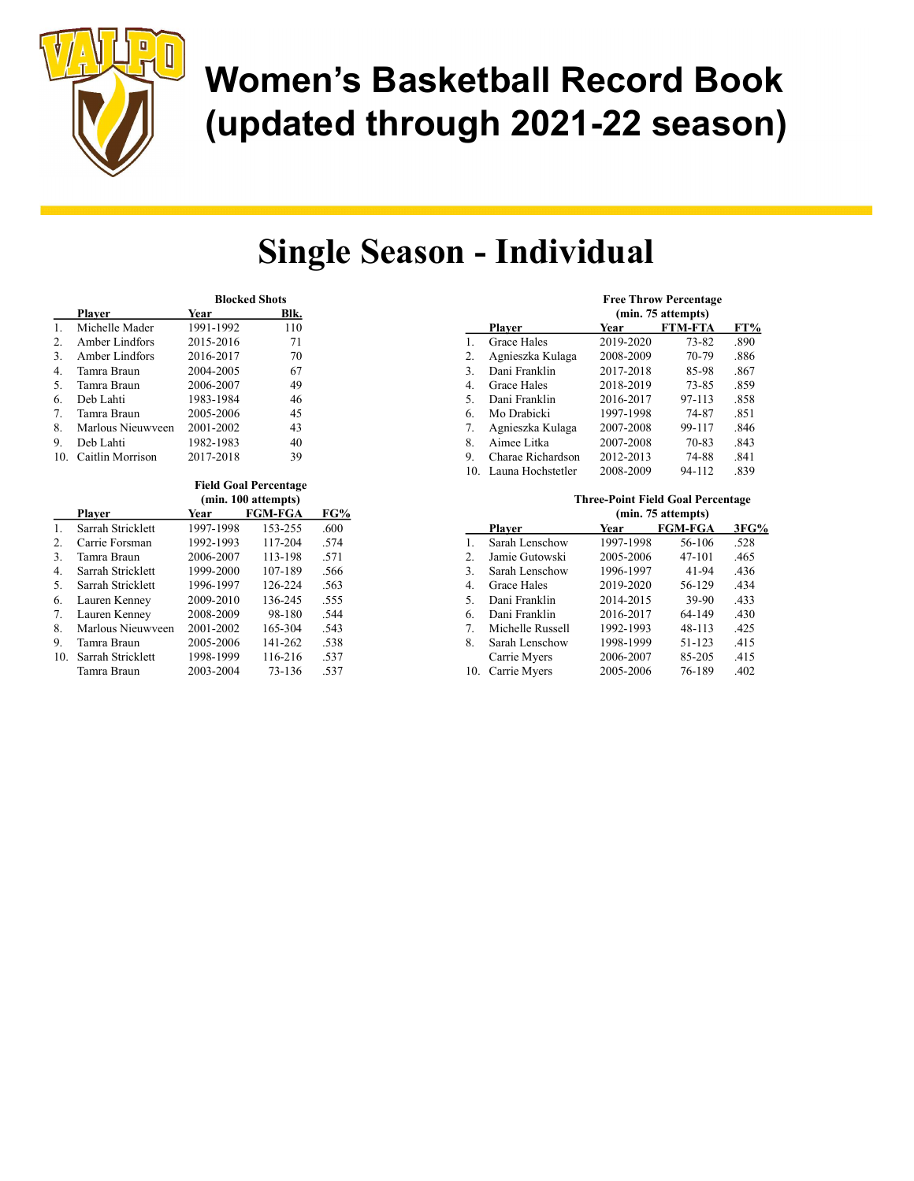

## Single Season - Individual

|                |                   | <b>Blocked Shots</b> |      |  |
|----------------|-------------------|----------------------|------|--|
|                | Plaver            | Year                 | Blk. |  |
| $\mathbf{1}$ . | Michelle Mader    | 1991-1992            | 110  |  |
| 2.             | Amber Lindfors    | 2015-2016            | 71   |  |
| 3.             | Amber Lindfors    | 2016-2017            | 70   |  |
| 4.             | Tamra Braun       | 2004-2005            | 67   |  |
| .5.            | Tamra Braun       | 2006-2007            | 49   |  |
| 6.             | Deb Lahti         | 1983-1984            | 46   |  |
| 7.             | Tamra Braun       | 2005-2006            | 45   |  |
| 8.             | Marlous Nieuwyeen | 2001-2002            | 43   |  |
| 9.             | Deb Lahti         | 1982-1983            | 40   |  |
|                | Caitlin Morrison  | 2017-2018            | 39   |  |

|     | <b>Field Goal Percentage</b> |           |                |      |  |
|-----|------------------------------|-----------|----------------|------|--|
|     | (min. 100 attempts)          |           |                |      |  |
|     | <b>Player</b>                | Year      | <b>FGM-FGA</b> | FG%  |  |
| 1.  | Sarrah Stricklett            | 1997-1998 | 153-255        | .600 |  |
| 2.  | Carrie Forsman               | 1992-1993 | 117-204        | .574 |  |
| 3.  | Tamra Braun                  | 2006-2007 | 113-198        | .571 |  |
| 4.  | Sarrah Stricklett            | 1999-2000 | 107-189        | .566 |  |
| .5. | Sarrah Stricklett            | 1996-1997 | 126-224        | .563 |  |
| 6.  | Lauren Kenney                | 2009-2010 | 136-245        | .555 |  |
| 7.  | Lauren Kenney                | 2008-2009 | 98-180         | .544 |  |
| 8.  | Marlous Nieuwyeen            | 2001-2002 | 165-304        | .543 |  |
| 9.  | Tamra Braun                  | 2005-2006 | 141-262        | .538 |  |
| 10. | Sarrah Stricklett            | 1998-1999 | 116-216        | .537 |  |
|     | Tamra Braun                  | 2003-2004 | 73-136         | .537 |  |

|     | <b>Free Throw Percentage</b><br>(min. 75 attempts) |           |                |      |  |
|-----|----------------------------------------------------|-----------|----------------|------|--|
|     | Plaver                                             | Year      | <b>FTM-FTA</b> | FT%  |  |
| 1.  | <b>Grace Hales</b>                                 | 2019-2020 | $73 - 82$      | .890 |  |
| 2.  | Agnieszka Kulaga                                   | 2008-2009 | 70-79          | .886 |  |
| 3.  | Dani Franklin                                      | 2017-2018 | 85-98          | .867 |  |
| 4.  | <b>Grace Hales</b>                                 | 2018-2019 | 73-85          | .859 |  |
| 5.  | Dani Franklin                                      | 2016-2017 | 97-113         | .858 |  |
| 6.  | Mo Drabicki                                        | 1997-1998 | 74-87          | .851 |  |
| 7.  | Agnieszka Kulaga                                   | 2007-2008 | 99-117         | .846 |  |
| 8.  | Aimee Litka                                        | 2007-2008 | 70-83          | .843 |  |
| 9.  | Charae Richardson                                  | 2012-2013 | 74-88          | .841 |  |
| 10. | Launa Hochstetler                                  | 2008-2009 | 94-112         | .839 |  |

|     | THE CC-T QUILET ICIU COME E CELCULARE |           |         |      |
|-----|---------------------------------------|-----------|---------|------|
|     | (min. 75 attempts)                    |           |         |      |
|     | <b>Player</b>                         | Year      | FGM-FGA | 3FG% |
| 1.  | Sarah Lenschow                        | 1997-1998 | 56-106  | .528 |
| 2.  | Jamie Gutowski                        | 2005-2006 | 47-101  | .465 |
| 3.  | Sarah Lenschow                        | 1996-1997 | 41-94   | .436 |
| 4.  | Grace Hales                           | 2019-2020 | 56-129  | .434 |
| 5.  | Dani Franklin                         | 2014-2015 | 39-90   | .433 |
| 6.  | Dani Franklin                         | 2016-2017 | 64-149  | .430 |
| 7.  | Michelle Russell                      | 1992-1993 | 48-113  | .425 |
| 8.  | Sarah Lenschow                        | 1998-1999 | 51-123  | .415 |
|     | Carrie Myers                          | 2006-2007 | 85-205  | .415 |
| 10. | Carrie Myers                          | 2005-2006 | 76-189  | .402 |

Three-Point Field Coal Persentage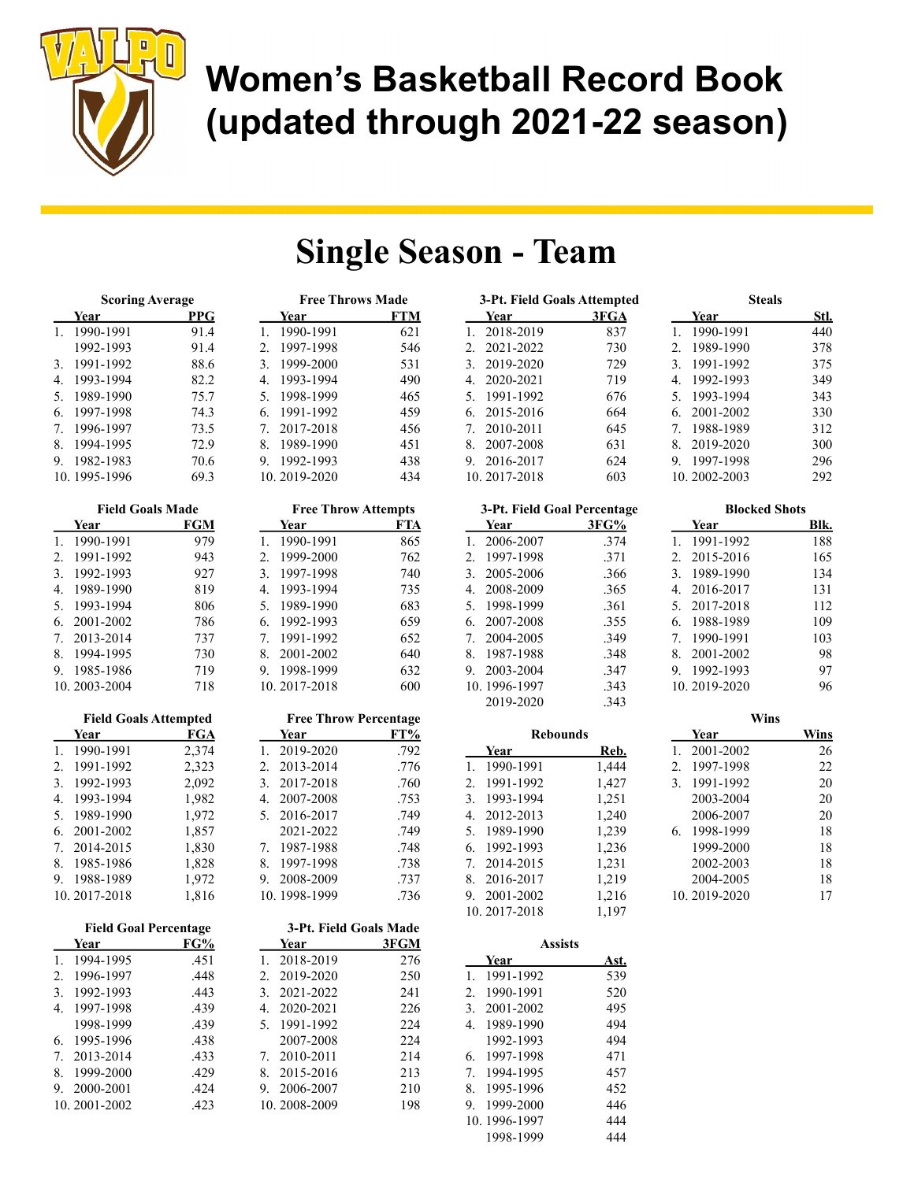

### Single Season - Team

Free Throw Attempts Year FTA 1. 1990-1991 865 2. 1999-2000 762 3. 1997-1998 740 4. 1993-1994 735 5. 1989-1990 683 6. 1992-1993 659 7. 1991-1992 652 8. 2001-2002 640 9. 1998-1999 632 10. 2017-2018 600

Free Throw Percentage Year FT% 1. 2019-2020 .792 2. 2013-2014 .776 3. 2017-2018 .760 4. 2007-2008 .753 5. 2016-2017 .749 2021-2022 .749 7. 1987-1988 .748 8. 1997-1998 .738 9. 2008-2009 .737 10. 1998-1999 .736

| <b>Scoring Average</b> |              | <b>Free Throws Made</b> |                  |     |
|------------------------|--------------|-------------------------|------------------|-----|
|                        | Year         | PPG                     | Year             | FTM |
| 1.                     | 1990-1991    | 91.4                    | 1990-1991        | 621 |
|                        | 1992-1993    | 91.4                    | 1997-1998<br>2.5 | 546 |
| 3.                     | 1991-1992    | 88.6                    | 1999-2000<br>3.  | 531 |
| 4.                     | 1993-1994    | 82.2                    | 1993-1994<br>4.  | 490 |
| 5.                     | 1989-1990    | 75.7                    | 1998-1999<br>5.  | 465 |
| 6.                     | 1997-1998    | 74.3                    | 1991-1992<br>6.  | 459 |
| 7.                     | 1996-1997    | 73.5                    | 2017-2018        | 456 |
| 8.                     | 1994-1995    | 72.9                    | 1989-1990<br>8.  | 451 |
| 9.                     | 1982-1983    | 70.6                    | 1992-1993<br>9.  | 438 |
|                        | 10.1995-1996 | 69.3                    | 10.2019-2020     | 434 |

| <b>Field Goals Made</b> |               |     |
|-------------------------|---------------|-----|
|                         | Year          | FGM |
| $1_{-}$                 | 1990-1991     | 979 |
| 2.                      | 1991-1992     | 943 |
| 3.                      | 1992-1993     | 927 |
| 4.                      | 1989-1990     | 819 |
| 5.                      | 1993-1994     | 806 |
| 6.                      | 2001-2002     | 786 |
|                         | 7. 2013-2014  | 737 |
| 8.                      | 1994-1995     | 730 |
| 9.                      | 1985-1986     | 719 |
|                         | 10. 2003-2004 | 718 |

|    | <b>Field Goals Attempted</b> |       |
|----|------------------------------|-------|
|    | Year                         | FGA   |
| 1. | 1990-1991                    | 2,374 |
| 2. | 1991-1992                    | 2,323 |
| 3. | 1992-1993                    | 2,092 |
| 4. | 1993-1994                    | 1,982 |
| 5. | 1989-1990                    | 1,972 |
| 6. | 2001-2002                    | 1,857 |
| 7. | 2014-2015                    | 1,830 |
| 8. | 1985-1986                    | 1,828 |
| 9. | 1988-1989                    | 1,972 |
|    | 10.2017-2018                 | 1,816 |

| <b>Field Goal Percentage</b> |              |      |               | 3-Pt. Field Goals Made |      |
|------------------------------|--------------|------|---------------|------------------------|------|
|                              | Year         | FG%  |               | Year                   | 3FGM |
| 1.                           | 1994-1995    | .451 |               | 2018-2019              | 276  |
| 2.                           | 1996-1997    | .448 | 2.            | 2019-2020              | 250  |
| 3.                           | 1992-1993    | .443 | $\mathcal{E}$ | 2021-2022              | 241  |
| 4.                           | 1997-1998    | .439 | 4.            | 2020-2021              | 226  |
|                              | 1998-1999    | .439 | 5.            | 1991-1992              | 224  |
| 6.                           | 1995-1996    | .438 |               | 2007-2008              | 224  |
| 7.                           | 2013-2014    | .433 | 7.            | 2010-2011              | 214  |
| 8.                           | 1999-2000    | .429 | 8.            | 2015-2016              | 213  |
| 9.                           | 2000-2001    | .424 | 9.            | 2006-2007              | 210  |
|                              | 10.2001-2002 | .423 |               | 10.2008-2009           | 198  |

| 3-Pt. Field Goals Attempted |      | <b>Steals</b>   |             |  |
|-----------------------------|------|-----------------|-------------|--|
| Year                        | 3FGA | Year            | <u>Stl.</u> |  |
| 2018-2019<br>1.             | 837  | 1990-1991       | 440         |  |
| 2. 2021-2022                | 730  | 1989-1990<br>2. | 378         |  |
| 3. 2019-2020                | 729  | 1991-1992<br>3. | 375         |  |
| 4. 2020-2021                | 719  | 1992-1993<br>4. | 349         |  |
| 5. 1991-1992                | 676  | 5. 1993-1994    | 343         |  |
| 6. 2015-2016                | 664  | 2001-2002<br>6. | 330         |  |
| 7. 2010-2011                | 645  | 1988-1989<br>7. | 312         |  |
| 8.<br>2007-2008             | 631  | 2019-2020<br>8. | 300         |  |
| 9.<br>2016-2017             | 624  | 1997-1998<br>9. | 296         |  |
| 10.2017-2018                | 603  | 10.2002-2003    | 292         |  |

| 3-Pt. Field Goal Percentage         |      |  |
|-------------------------------------|------|--|
| Year                                | 3FG% |  |
| 2006-2007<br>$1_{-}$                | .374 |  |
| 1997-1998<br>$\mathfrak{D}_{\cdot}$ | .371 |  |
| 2005-2006<br>3.                     | .366 |  |
| 2008-2009<br>4.                     | .365 |  |
| 5. 1998-1999                        | .361 |  |
| 6. 2007-2008                        | .355 |  |
| 7. 2004-2005                        | .349 |  |
| 8. 1987-1988                        | .348 |  |
| 2003-2004<br>9.                     | .347 |  |
| 10.1996-1997                        | .343 |  |
| 2019-2020                           | .343 |  |

|                | <b>Rebounds</b> |       |
|----------------|-----------------|-------|
|                | Year            | Reb.  |
| $\mathbf{1}$ . | 1990-1991       | 1,444 |
|                | 2. 1991-1992    | 1,427 |
| 3.             | 1993-1994       | 1,251 |
| 4.             | 2012-2013       | 1,240 |
| 5.             | 1989-1990       | 1,239 |
|                | 6. 1992-1993    | 1,236 |
|                | 7. 2014-2015    | 1,231 |
|                | 8. 2016-2017    | 1,219 |
| 9.             | 2001-2002       | 1,216 |
|                | 10.2017-2018    | 1,197 |

|    | 10.2017-2018   | 1,197 |
|----|----------------|-------|
|    | <b>Assists</b> |       |
|    | Year           | Ast.  |
|    | 1. 1991-1992   | 539   |
|    | 2. 1990-1991   | 520   |
| 3. | 2001-2002      | 495   |
|    | 4. 1989-1990   | 494   |
|    | 1992-1993      | 494   |
| 6. | 1997-1998      | 471   |
|    | 7. 1994-1995   | 457   |
|    | 8. 1995-1996   | 452   |
|    | 9. 1999-2000   | 446   |
|    | 10.1996-1997   | 444   |

1998-1999 444

| <b>Blocked Shots</b>                          |     |  |
|-----------------------------------------------|-----|--|
|                                               |     |  |
| 10.2002-2003                                  | 292 |  |
| 1997-1998<br>9.                               | 296 |  |
| 8. 2019-2020                                  | 300 |  |
| 1988-1989<br>$7_{\scriptscriptstyle{\ddots}}$ | 312 |  |
| 2001-2002<br>6.                               | 330 |  |
|                                               |     |  |
| 1993-1994<br>5.                               | 343 |  |
| 1992-1993<br>4.                               | 349 |  |
| 1991-1992<br>3.                               | 375 |  |
| 1989-1990<br>2.                               | 378 |  |
| . .<br>. <i>. . . .</i> .                     | ュ   |  |

| <b>Blocked Shots</b>        |           |      |
|-----------------------------|-----------|------|
| Year                        |           | BIk. |
| 1.                          | 1991-1992 | 188  |
| 2.                          | 2015-2016 | 165  |
| $\mathcal{F}_{\mathcal{L}}$ | 1989-1990 | 134  |
| 4.                          | 2016-2017 | 131  |
| 5.                          | 2017-2018 | 112  |
| 6.                          | 1988-1989 | 109  |
| 7. 1990-1991                |           | 103  |
| 8.                          | 2001-2002 | 98   |
| 9.                          | 1992-1993 | 97   |
| 10.2019-2020                |           | 96   |
|                             |           |      |

|                             |              | Wins |      |
|-----------------------------|--------------|------|------|
|                             | Year         |      | Wins |
| 1.                          | 2001-2002    |      | 26   |
| 2.5                         | 1997-1998    |      | 22   |
| $\mathcal{F}_{\mathcal{L}}$ | 1991-1992    |      | 20   |
|                             | 2003-2004    |      | 20   |
|                             | 2006-2007    |      | 20   |
| 6.                          | 1998-1999    |      | 18   |
|                             | 1999-2000    |      | 18   |
|                             | 2002-2003    |      | 18   |
|                             | 2004-2005    |      | 18   |
|                             | 10.2019-2020 |      | 17   |
|                             |              |      |      |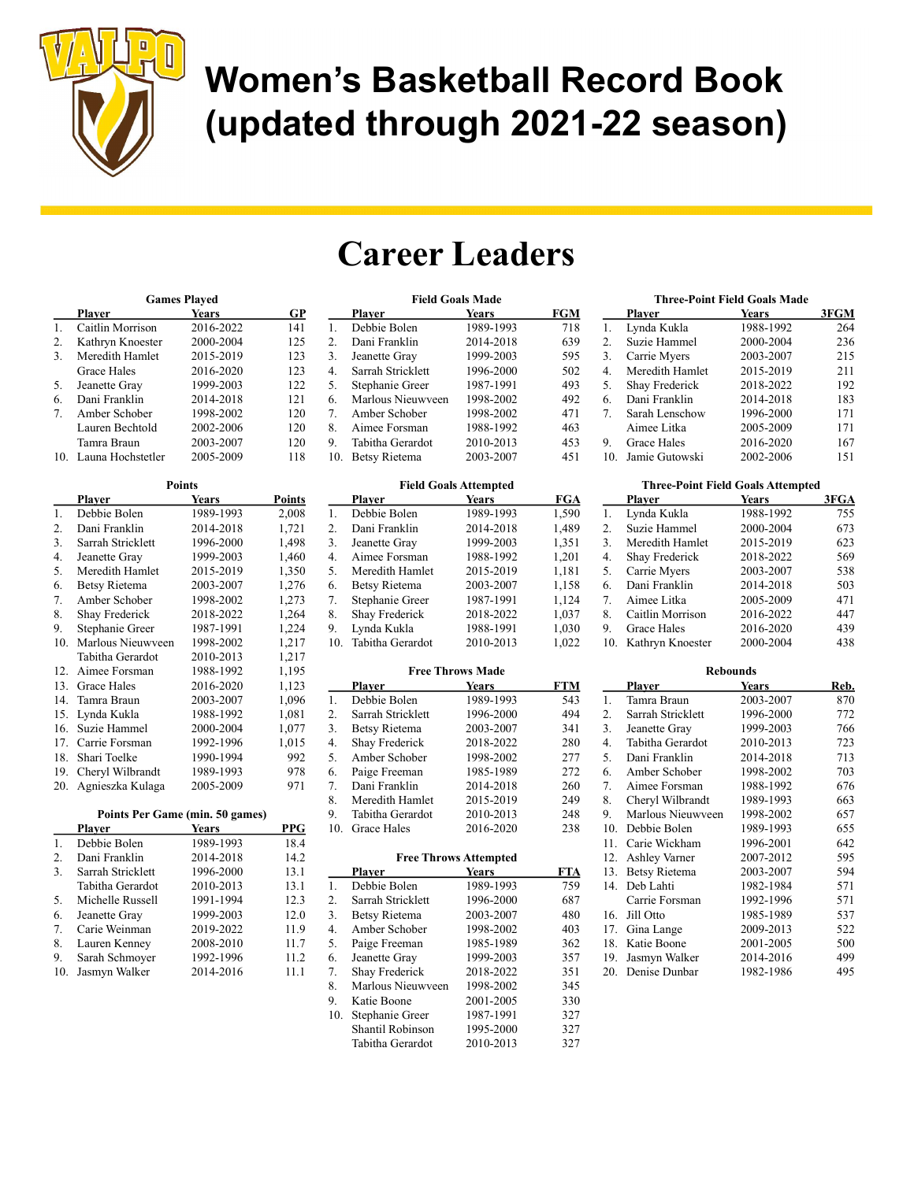

## Career Leaders

Field Goals Made

| <b>Games Played</b> |                   |           |     |
|---------------------|-------------------|-----------|-----|
|                     | Plaver            | Years     | GP  |
|                     | Caitlin Morrison  | 2016-2022 | 141 |
| 2.                  | Kathryn Knoester  | 2000-2004 | 125 |
| 3.                  | Meredith Hamlet   | 2015-2019 | 123 |
|                     | Grace Hales       | 2016-2020 | 123 |
| 5.                  | Jeanette Gray     | 1999-2003 | 122 |
| 6.                  | Dani Franklin     | 2014-2018 | 121 |
| 7.                  | Amber Schober     | 1998-2002 | 120 |
|                     | Lauren Bechtold   | 2002-2006 | 120 |
|                     | Tamra Braun       | 2003-2007 | 120 |
|                     | Launa Hochstetler | 2005-2009 | 118 |

|     | <b>Points</b>     |           |               |  |
|-----|-------------------|-----------|---------------|--|
|     | <b>Player</b>     | Years     | <b>Points</b> |  |
| 1.  | Debbie Bolen      | 1989-1993 | 2,008         |  |
| 2.  | Dani Franklin     | 2014-2018 | 1,721         |  |
| 3.  | Sarrah Stricklett | 1996-2000 | 1,498         |  |
| 4.  | Jeanette Gray     | 1999-2003 | 1,460         |  |
| 5.  | Meredith Hamlet   | 2015-2019 | 1,350         |  |
| 6.  | Betsy Rietema     | 2003-2007 | 1,276         |  |
| 7.  | Amber Schober     | 1998-2002 | 1,273         |  |
| 8.  | Shay Frederick    | 2018-2022 | 1,264         |  |
| 9.  | Stephanie Greer   | 1987-1991 | 1,224         |  |
| 10. | Marlous Nieuwyeen | 1998-2002 | 1,217         |  |
|     | Tabitha Gerardot  | 2010-2013 | 1,217         |  |
| 12. | Aimee Forsman     | 1988-1992 | 1,195         |  |
| 13. | Grace Hales       | 2016-2020 | 1,123         |  |
| 14. | Tamra Braun       | 2003-2007 | 1,096         |  |
| 15. | Lynda Kukla       | 1988-1992 | 1,081         |  |
| 16. | Suzie Hammel      | 2000-2004 | 1,077         |  |
| 17. | Carrie Forsman    | 1992-1996 | 1,015         |  |
| 18. | Shari Toelke      | 1990-1994 | 992           |  |
| 19. | Cheryl Wilbrandt  | 1989-1993 | 978           |  |
| 20. | Agnieszka Kulaga  | 2005-2009 | 971           |  |

#### Points Per Game (min. 50 games)

|     | Plaver            | Years     | PPG  |
|-----|-------------------|-----------|------|
| 1.  | Debbie Bolen      | 1989-1993 | 18.4 |
| 2.  | Dani Franklin     | 2014-2018 | 14.2 |
| 3.  | Sarrah Stricklett | 1996-2000 | 13.1 |
|     | Tabitha Gerardot  | 2010-2013 | 13.1 |
| .5. | Michelle Russell  | 1991-1994 | 12.3 |
| 6.  | Jeanette Gray     | 1999-2003 | 12.0 |
| 7.  | Carie Weinman     | 2019-2022 | 11.9 |
| 8.  | Lauren Kenney     | 2008-2010 | 11.7 |
| 9.  | Sarah Schmoyer    | 1992-1996 | 11.2 |
| 10. | Jasmyn Walker     | 2014-2016 | 11.1 |

|     | <b>Player</b>        | <b>Years</b> | <b>FGM</b> |
|-----|----------------------|--------------|------------|
| 1.  | Debbie Bolen         | 1989-1993    | 718        |
| 2.  | Dani Franklin        | 2014-2018    | 639        |
| 3.  | Jeanette Gray        | 1999-2003    | 595        |
| 4.  | Sarrah Stricklett    | 1996-2000    | 502        |
| 5.  | Stephanie Greer      | 1987-1991    | 493        |
| 6.  | Marlous Nieuwveen    | 1998-2002    | 492        |
| 7.  | Amber Schober        | 1998-2002    | 471        |
| 8.  | Aimee Forsman        | 1988-1992    | 463        |
| 9.  | Tabitha Gerardot     | 2010-2013    | 453        |
| 10. | <b>Betsy Rietema</b> | 2003-2007    | 451        |

| <b>Field Goals Attempted</b> |                      |              |            |
|------------------------------|----------------------|--------------|------------|
|                              | Plaver               | <b>Years</b> | <b>FGA</b> |
| 1.                           | Debbie Bolen         | 1989-1993    | 1,590      |
| 2.                           | Dani Franklin        | 2014-2018    | 1,489      |
| 3.                           | Jeanette Gray        | 1999-2003    | 1,351      |
| 4.                           | Aimee Forsman        | 1988-1992    | 1,201      |
| 5.                           | Meredith Hamlet      | 2015-2019    | 1,181      |
| 6.                           | <b>Betsy Rietema</b> | 2003-2007    | 1,158      |
| 7.                           | Stephanie Greer      | 1987-1991    | 1,124      |
| 8.                           | Shay Frederick       | 2018-2022    | 1,037      |
| 9.                           | Lynda Kukla          | 1988-1991    | 1,030      |
| 10.                          | Tabitha Gerardot     | 2010-2013    | 1.022      |

#### Free Throws Made

|     | Plaver               | <b>Years</b> | FTM |
|-----|----------------------|--------------|-----|
| 1.  | Debbie Bolen         | 1989-1993    | 543 |
| 2.  | Sarrah Stricklett    | 1996-2000    | 494 |
| 3.  | <b>Betsy Rietema</b> | 2003-2007    | 341 |
| 4.  | Shay Frederick       | 2018-2022    | 280 |
| 5.  | Amber Schober        | 1998-2002    | 277 |
| 6.  | Paige Freeman        | 1985-1989    | 272 |
| 7.  | Dani Franklin        | 2014-2018    | 260 |
| 8.  | Meredith Hamlet      | 2015-2019    | 249 |
| 9.  | Tabitha Gerardot     | 2010-2013    | 248 |
| 10. | Grace Hales          | 2016-2020    | 238 |

#### Free Throws Attempted

|     | <b>Plaver</b>        | Years     | <b>FTA</b> |
|-----|----------------------|-----------|------------|
| 1.  | Debbie Bolen         | 1989-1993 | 759        |
| 2.  | Sarrah Stricklett    | 1996-2000 | 687        |
| 3.  | <b>Betsy Rietema</b> | 2003-2007 | 480        |
| 4.  | Amber Schober        | 1998-2002 | 403        |
| 5.  | Paige Freeman        | 1985-1989 | 362        |
| 6.  | Jeanette Gray        | 1999-2003 | 357        |
| 7.  | Shay Frederick       | 2018-2022 | 351        |
| 8.  | Marlous Nieuwyeen    | 1998-2002 | 345        |
| 9.  | Katie Boone          | 2001-2005 | 330        |
| 10. | Stephanie Greer      | 1987-1991 | 327        |
|     | Shantil Robinson     | 1995-2000 | 327        |
|     | Tabitha Gerardot     | 2010-2013 | 327        |

| <b>Three-Point Field Goals Made</b> |                 |           |      |
|-------------------------------------|-----------------|-----------|------|
|                                     | Plaver          | Years     | 3FGM |
| 1.                                  | Lynda Kukla     | 1988-1992 | 264  |
| 2.                                  | Suzie Hammel    | 2000-2004 | 236  |
| 3.                                  | Carrie Myers    | 2003-2007 | 215  |
| 4.                                  | Meredith Hamlet | 2015-2019 | 211  |
| 5.                                  | Shay Frederick  | 2018-2022 | 192  |
| 6.                                  | Dani Franklin   | 2014-2018 | 183  |
| 7.                                  | Sarah Lenschow  | 1996-2000 | 171  |
|                                     | Aimee Litka     | 2005-2009 | 171  |
| 9.                                  | Grace Hales     | 2016-2020 | 167  |
| 10.                                 | Jamie Gutowski  | 2002-2006 | 151  |

| <b>Three-Point Field Goals Attempted</b> |                  |           |      |
|------------------------------------------|------------------|-----------|------|
|                                          | Player           | Years     | 3FGA |
| 1.                                       | Lynda Kukla      | 1988-1992 | 755  |
| 2.                                       | Suzie Hammel     | 2000-2004 | 673  |
| 3.                                       | Meredith Hamlet  | 2015-2019 | 623  |
| 4.                                       | Shay Frederick   | 2018-2022 | 569  |
| 5.                                       | Carrie Myers     | 2003-2007 | 538  |
| 6.                                       | Dani Franklin    | 2014-2018 | 503  |
| 7.                                       | Aimee Litka      | 2005-2009 | 471  |
| 8.                                       | Caitlin Morrison | 2016-2022 | 447  |
| 9.                                       | Grace Hales      | 2016-2020 | 439  |
| 10.                                      | Kathrvn Knoester | 2000-2004 | 438  |

| <b>Rebounds</b>  |                      |              |      |
|------------------|----------------------|--------------|------|
|                  | <u>Plaver</u>        | <b>Years</b> | Reb. |
| 1.               | Tamra Braun          | 2003-2007    | 870  |
| $\overline{2}$ . | Sarrah Stricklett    | 1996-2000    | 772  |
| 3.               | Jeanette Gray        | 1999-2003    | 766  |
| $\overline{4}$ . | Tabitha Gerardot     | 2010-2013    | 723  |
| 5.               | Dani Franklin        | 2014-2018    | 713  |
| 6.               | Amber Schober        | 1998-2002    | 703  |
| 7.               | Aimee Forsman        | 1988-1992    | 676  |
| 8.               | Cheryl Wilbrandt     | 1989-1993    | 663  |
| 9.               | Marlous Nieuwveen    | 1998-2002    | 657  |
| 10.              | Debbie Bolen         | 1989-1993    | 655  |
| 11.              | Carie Wickham        | 1996-2001    | 642  |
| 12.              | <b>Ashley Varner</b> | 2007-2012    | 595  |
| 13.              | Betsy Rietema        | 2003-2007    | 594  |
| 14.              | Deb Lahti            | 1982-1984    | 571  |
|                  | Carrie Forsman       | 1992-1996    | 571  |
| 16.              | Jill Otto            | 1985-1989    | 537  |
| 17.              | Gina Lange           | 2009-2013    | 522  |
| 18.              | Katie Boone          | 2001-2005    | 500  |
| 19.              | Jasmyn Walker        | 2014-2016    | 499  |
| 20.              | Denise Dunbar        | 1982-1986    | 495  |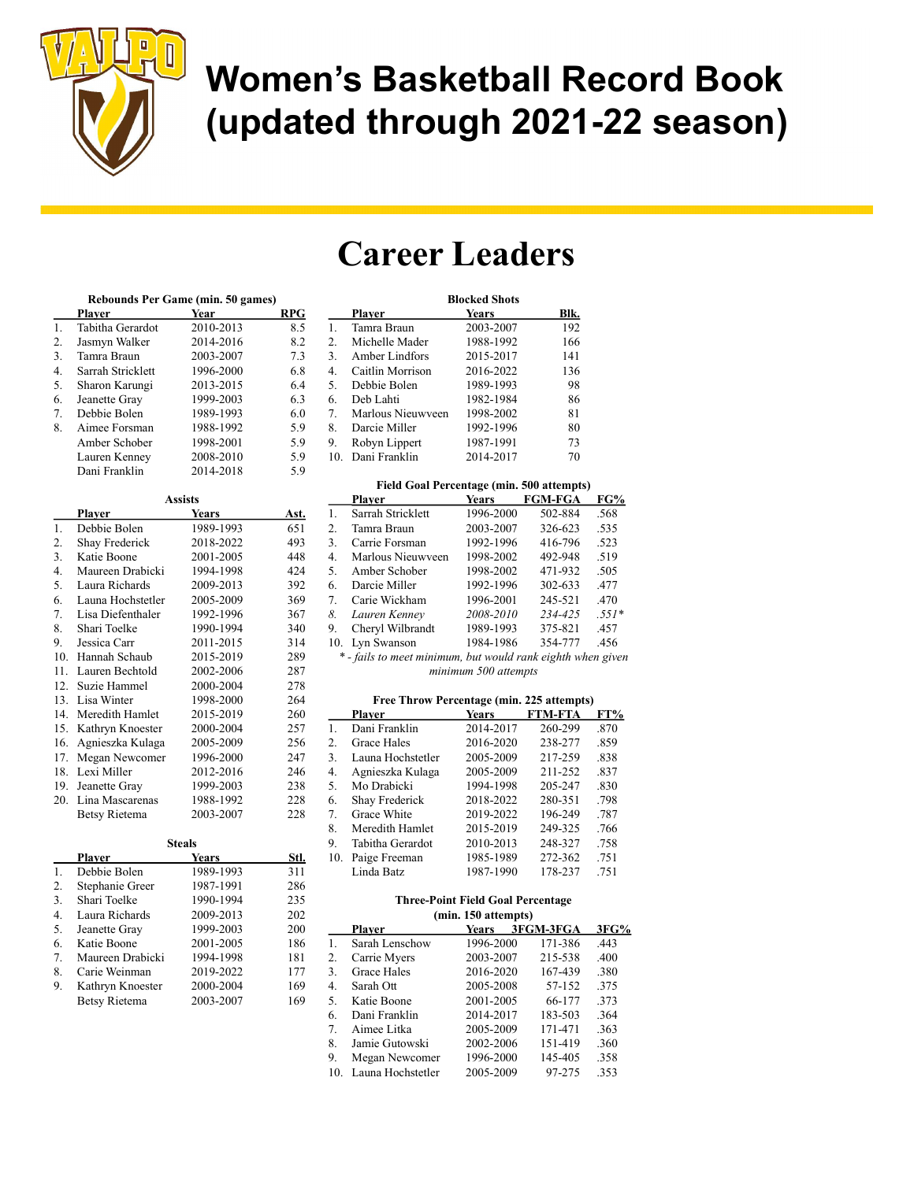

## Career Leaders

#### Rebounds Per Game (min. 50 games)

|                  |                       | $\frac{1}{2}$ and $\frac{1}{2}$ and $\frac{1}{2}$ and $\frac{1}{2}$ |            |
|------------------|-----------------------|---------------------------------------------------------------------|------------|
|                  | <b>Player</b>         | <b>Year</b>                                                         | <b>RPG</b> |
| 1.               | Tabitha Gerardot      | 2010-2013                                                           | 8.5        |
| 2.               | Jasmyn Walker         | 2014-2016                                                           | 8.2        |
| 3.               | Tamra Braun           | 2003-2007                                                           | 7.3        |
| $\overline{4}$ . | Sarrah Stricklett     | 1996-2000                                                           | 6.8        |
| 5.               | Sharon Karungi        | 2013-2015                                                           | 6.4        |
| 6.               | Jeanette Gray         | 1999-2003                                                           | 6.3        |
| 7.               | Debbie Bolen          | 1989-1993                                                           | 6.0        |
| 8.               | Aimee Forsman         | 1988-1992                                                           | 5.9        |
|                  | Amber Schober         | 1998-2001                                                           | 5.9        |
|                  | Lauren Kenney         | 2008-2010                                                           | 5.9        |
|                  | Dani Franklin         | 2014-2018                                                           | 5.9        |
|                  |                       | <b>Assists</b>                                                      |            |
|                  | <b>Player</b>         | <b>Years</b>                                                        | Ast.       |
| 1.               | Debbie Bolen          | 1989-1993                                                           | 651        |
| 2.               | <b>Shay Frederick</b> | 2018-2022                                                           | 493        |
| 3.               | Katie Boone           | 2001-2005                                                           | 448        |
| 4.               | Maureen Drabicki      | 1994-1998                                                           | 424        |
| 5.               | Laura Richards        | 2009-2013                                                           | 392        |
| 6.               | Launa Hochstetler     | 2005-2009                                                           | 369        |
| 7.               | Lisa Diefenthaler     | 1992-1996                                                           | 367        |
| 8.               | Shari Toelke          | 1990-1994                                                           | 340        |
| 9.               | Jessica Carr          | 2011-2015                                                           | 314        |
| 10.              | Hannah Schaub         | 2015-2019                                                           | 289        |
| 11.              | Lauren Bechtold       | 2002-2006                                                           | 287        |
| 12.              | Suzie Hammel          | 2000-2004                                                           | 278        |
| 13.              | Lisa Winter           | 1998-2000                                                           | 264        |
| 14.              | Meredith Hamlet       | 2015-2019                                                           | 260        |
| 15.              | Kathryn Knoester      | 2000-2004                                                           | 257        |
| 16.              | Agnieszka Kulaga      | 2005-2009                                                           | 256        |
| 17.              | Megan Newcomer        | 1996-2000                                                           | 247        |
| 18.              | Lexi Miller           | 2012-2016                                                           | 246        |
| 19.              | Jeanette Gray         | 1999-2003                                                           | 238        |
| 20.              | Lina Mascarenas       | 1988-1992                                                           | 228        |
|                  | <b>Betsy Rietema</b>  | 2003-2007                                                           | 228        |

| <b>Steals</b> |                  |           |      |
|---------------|------------------|-----------|------|
|               | Plaver           | Years     | Stl. |
| 1.            | Debbie Bolen     | 1989-1993 | 311  |
| 2.            | Stephanie Greer  | 1987-1991 | 286  |
| 3.            | Shari Toelke     | 1990-1994 | 235  |
| 4.            | Laura Richards   | 2009-2013 | 202  |
| 5.            | Jeanette Gray    | 1999-2003 | 200  |
| 6.            | Katie Boone      | 2001-2005 | 186  |
| 7.            | Maureen Drabicki | 1994-1998 | 181  |
| 8.            | Carie Weinman    | 2019-2022 | 177  |
| 9.            | Kathryn Knoester | 2000-2004 | 169  |
|               | Betsy Rietema    | 2003-2007 | 169  |

|     | <b>Blocked Shots</b> |           |      |
|-----|----------------------|-----------|------|
|     | Player               | Years     | Blk. |
| 1.  | Tamra Braun          | 2003-2007 | 192  |
| 2.  | Michelle Mader       | 1988-1992 | 166  |
| 3.  | Amber Lindfors       | 2015-2017 | 141  |
| 4.  | Caitlin Morrison     | 2016-2022 | 136  |
| 5.  | Debbie Bolen         | 1989-1993 | 98   |
| 6.  | Deb Lahti            | 1982-1984 | 86   |
| 7.  | Marlous Nieuwyeen    | 1998-2002 | 81   |
| 8.  | Darcie Miller        | 1992-1996 | 80   |
| 9.  | Robyn Lippert        | 1987-1991 | 73   |
| 10. | Dani Franklin        | 2014-2017 | 70   |

|     | <b>Field Goal Percentage (min. 500 attempts)</b> |              |                |         |  |
|-----|--------------------------------------------------|--------------|----------------|---------|--|
|     | <b>Player</b>                                    | <b>Years</b> | <b>FGM-FGA</b> | FG%     |  |
| 1.  | Sarrah Stricklett                                | 1996-2000    | 502-884        | .568    |  |
| 2.  | Tamra Braun                                      | 2003-2007    | 326-623        | .535    |  |
| 3.  | Carrie Forsman                                   | 1992-1996    | 416-796        | .523    |  |
| 4.  | Marlous Nieuwyeen                                | 1998-2002    | 492-948        | .519    |  |
| 5.  | Amber Schober                                    | 1998-2002    | 471-932        | .505    |  |
| 6.  | Darcie Miller                                    | 1992-1996    | 302-633        | .477    |  |
| 7.  | Carie Wickham                                    | 1996-2001    | 245-521        | .470    |  |
| 8.  | Lauren Kennev                                    | 2008-2010    | 234-425        | $.551*$ |  |
| 9.  | Cheryl Wilbrandt                                 | 1989-1993    | 375-821        | .457    |  |
| 10. | Lyn Swanson                                      | 1984-1986    | 354-777        | .456    |  |

\* - fails to meet minimum, but would rank eighth when given minimum 500 attempts

#### Free Throw Percentage (min. 225 attempts)

|     | <b>Plaver</b>      | Years     | <b>FTM-FTA</b> | FT%  |
|-----|--------------------|-----------|----------------|------|
| 1.  | Dani Franklin      | 2014-2017 | 260-299        | .870 |
| 2.  | <b>Grace Hales</b> | 2016-2020 | 238-277        | .859 |
| 3.  | Launa Hochstetler  | 2005-2009 | 217-259        | .838 |
| 4.  | Agnieszka Kulaga   | 2005-2009 | 211-252        | .837 |
| 5.  | Mo Drabicki        | 1994-1998 | 205-247        | .830 |
| 6.  | Shay Frederick     | 2018-2022 | 280-351        | .798 |
| 7.  | Grace White        | 2019-2022 | 196-249        | .787 |
| 8.  | Meredith Hamlet    | 2015-2019 | 249-325        | .766 |
| 9.  | Tabitha Gerardot   | 2010-2013 | 248-327        | .758 |
| 10. | Paige Freeman      | 1985-1989 | 272-362        | .751 |
|     | Linda Batz         | 1987-1990 | 178-237        | .751 |

#### Three-Point Field Goal Percentage (min. 150 attempts)

|                | тини, то ансшрет  |           |  |           |      |
|----------------|-------------------|-----------|--|-----------|------|
|                | Plaver            | Years     |  | 3FGM-3FGA | 3FG% |
| 1.             | Sarah Lenschow    | 1996-2000 |  | 171-386   | .443 |
| 2.             | Carrie Myers      | 2003-2007 |  | 215-538   | .400 |
| 3.             | Grace Hales       | 2016-2020 |  | 167-439   | .380 |
| 4.             | Sarah Ott         | 2005-2008 |  | 57-152    | .375 |
| 5.             | Katie Boone       | 2001-2005 |  | 66-177    | .373 |
| 6.             | Dani Franklin     | 2014-2017 |  | 183-503   | .364 |
| 7 <sub>1</sub> | Aimee Litka       | 2005-2009 |  | 171-471   | .363 |
| 8.             | Jamie Gutowski    | 2002-2006 |  | 151-419   | .360 |
| 9.             | Megan Newcomer    | 1996-2000 |  | 145-405   | .358 |
| 10.            | Launa Hochstetler | 2005-2009 |  | 97-275    | .353 |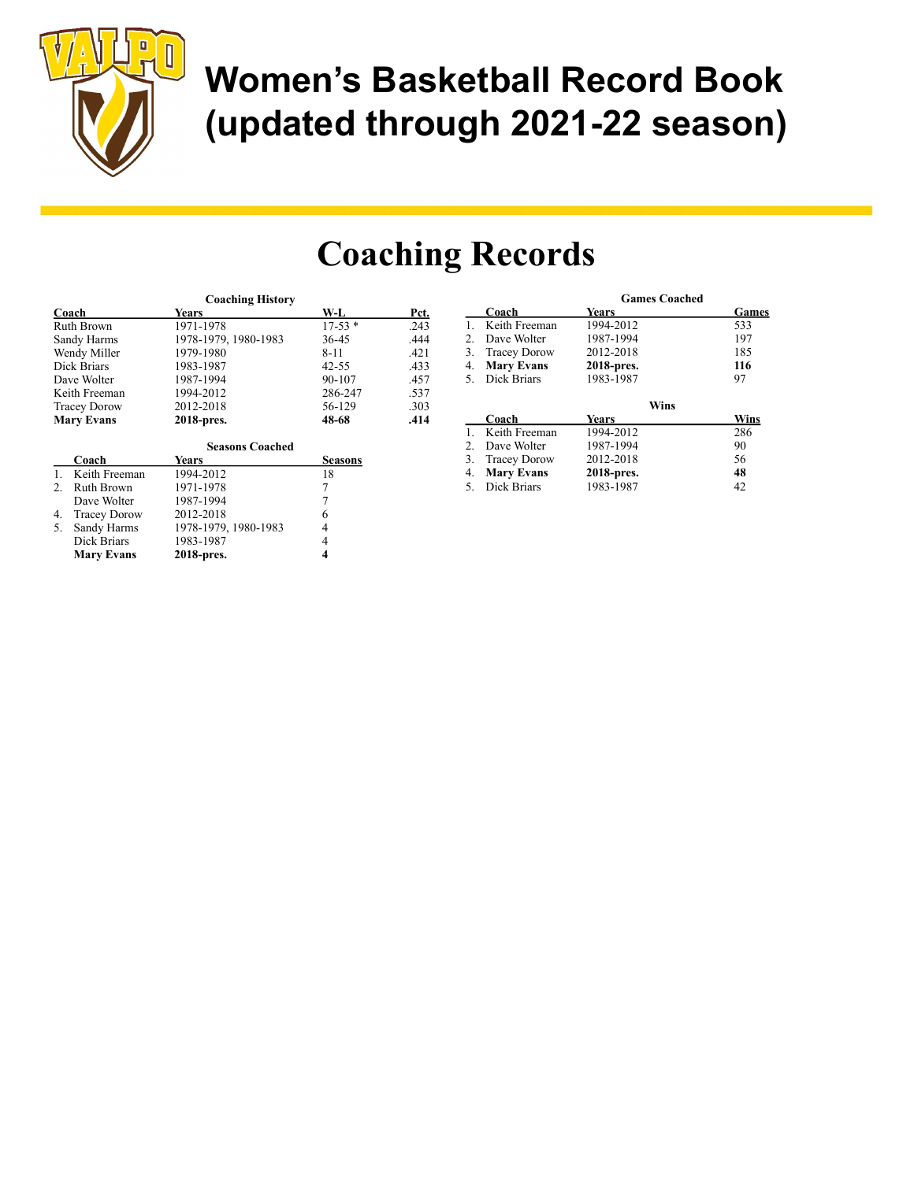

Mary Evans 2018-pres. 4

# Women's Basketball Record Book (updated through 2021-22 season)

Games

## Coaching Records

|                           | <b>Coaching History</b> |                |      |    |                     | <b>Games Coached</b> |             |
|---------------------------|-------------------------|----------------|------|----|---------------------|----------------------|-------------|
| Coach                     | Years                   | W-L            | Pct. |    | Coach               | Years                | <b>Game</b> |
| Ruth Brown                | 1971-1978               | $17-53*$       | .243 |    | Keith Freeman       | 1994-2012            | 533         |
| Sandy Harms               | 1978-1979, 1980-1983    | 36-45          | .444 |    | Dave Wolter         | 1987-1994            | 197         |
| Wendy Miller              | 1979-1980               | $8 - 11$       | .421 | 3. | <b>Tracey Dorow</b> | 2012-2018            | 185         |
| Dick Briars               | 1983-1987               | $42 - 55$      | .433 | 4. | <b>Mary Evans</b>   | 2018-pres.           | 116         |
| Dave Wolter               | 1987-1994               | 90-107         | .457 | 5. | Dick Briars         | 1983-1987            | 97          |
| Keith Freeman             | 1994-2012               | 286-247        | .537 |    |                     |                      |             |
| <b>Tracey Dorow</b>       | 2012-2018               | 56-129         | .303 |    |                     | <b>Wins</b>          |             |
| <b>Mary Evans</b>         | 2018-pres.              | 48-68          | .414 |    | Coach               | Years                | Wins        |
|                           |                         |                |      |    | Keith Freeman       | 1994-2012            | 286         |
|                           | <b>Seasons Coached</b>  |                |      |    | Dave Wolter         | 1987-1994            | 90          |
| Coach                     | <b>Years</b>            | <b>Seasons</b> |      | 3. | <b>Tracey Dorow</b> | 2012-2018            | 56          |
| Keith Freeman             | 1994-2012               | 18             |      | 4. | <b>Mary Evans</b>   | 2018-pres.           | 48          |
| Ruth Brown                | 1971-1978               |                |      | 5. | Dick Briars         | 1983-1987            | 42          |
| Dave Wolter               | 1987-1994               |                |      |    |                     |                      |             |
| <b>Tracey Dorow</b><br>4. | 2012-2018               | 6              |      |    |                     |                      |             |
| Sandy Harms<br>5.         | 1978-1979, 1980-1983    | 4              |      |    |                     |                      |             |
| Dick Briars               | 1983-1987               | 4              |      |    |                     |                      |             |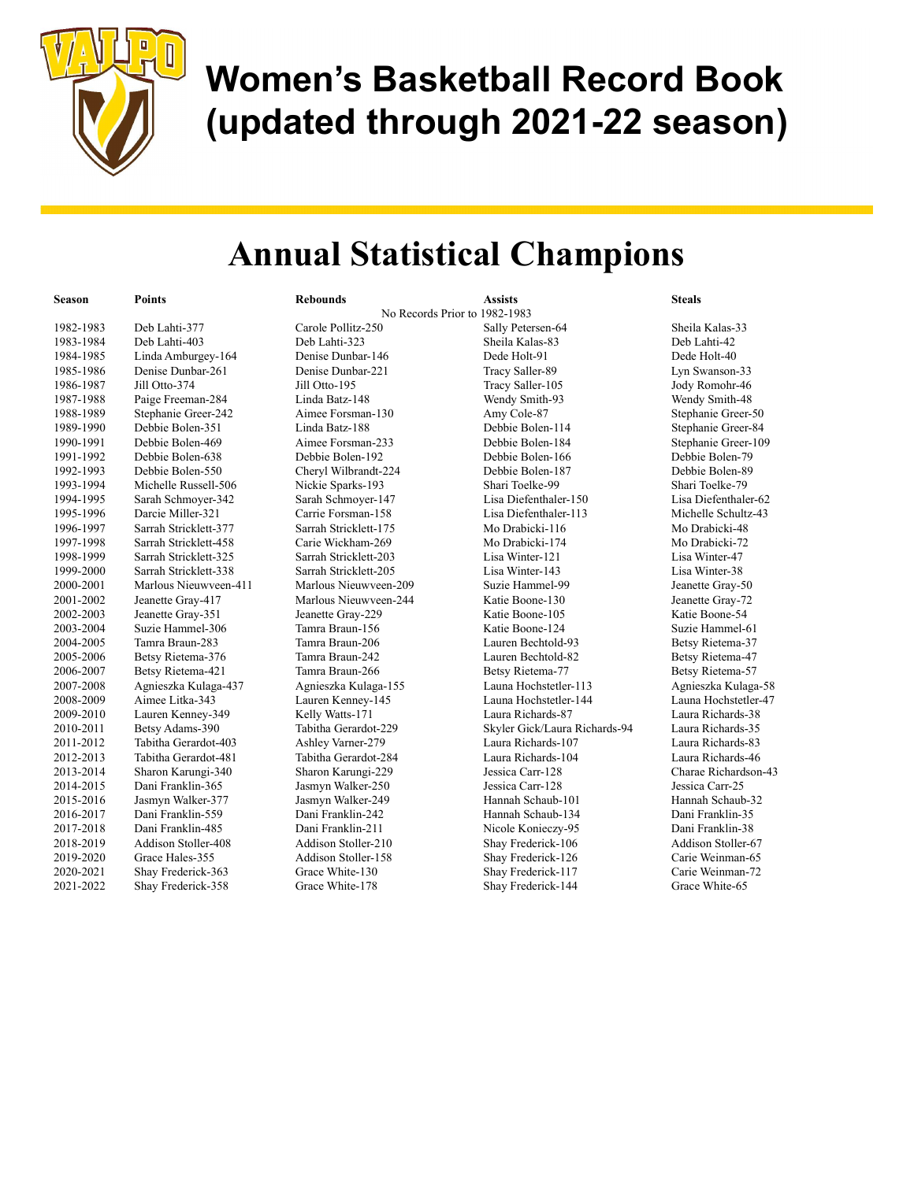

#### Annual Statistical Champions

| Season    | <b>Points</b>         | <b>Rebounds</b>               | <b>Assists</b>                | <b>Steals</b>        |
|-----------|-----------------------|-------------------------------|-------------------------------|----------------------|
|           |                       | No Records Prior to 1982-1983 |                               |                      |
| 1982-1983 | Deb Lahti-377         | Carole Pollitz-250            | Sally Petersen-64             | Sheila Kalas-33      |
| 1983-1984 | Deb Lahti-403         | Deb Lahti-323                 | Sheila Kalas-83               | Deb Lahti-42         |
| 1984-1985 | Linda Amburgey-164    | Denise Dunbar-146             | Dede Holt-91                  | Dede Holt-40         |
| 1985-1986 | Denise Dunbar-261     | Denise Dunbar-221             | Tracy Saller-89               | Lyn Swanson-33       |
| 1986-1987 | Jill Otto-374         | Jill Otto-195                 | Tracy Saller-105              | Jody Romohr-46       |
| 1987-1988 | Paige Freeman-284     | Linda Batz-148                | Wendy Smith-93                | Wendy Smith-48       |
| 1988-1989 | Stephanie Greer-242   | Aimee Forsman-130             | Amy Cole-87                   | Stephanie Greer-50   |
| 1989-1990 | Debbie Bolen-351      | Linda Batz-188                | Debbie Bolen-114              | Stephanie Greer-84   |
| 1990-1991 | Debbie Bolen-469      | Aimee Forsman-233             | Debbie Bolen-184              | Stephanie Greer-109  |
| 1991-1992 | Debbie Bolen-638      | Debbie Bolen-192              | Debbie Bolen-166              | Debbie Bolen-79      |
| 1992-1993 | Debbie Bolen-550      | Cheryl Wilbrandt-224          | Debbie Bolen-187              | Debbie Bolen-89      |
| 1993-1994 | Michelle Russell-506  | Nickie Sparks-193             | Shari Toelke-99               | Shari Toelke-79      |
| 1994-1995 | Sarah Schmoyer-342    | Sarah Schmoyer-147            | Lisa Diefenthaler-150         | Lisa Diefenthaler-62 |
| 1995-1996 | Darcie Miller-321     | Carrie Forsman-158            | Lisa Diefenthaler-113         | Michelle Schultz-43  |
| 1996-1997 | Sarrah Stricklett-377 | Sarrah Stricklett-175         | Mo Drabicki-116               | Mo Drabicki-48       |
| 1997-1998 | Sarrah Stricklett-458 | Carie Wickham-269             | Mo Drabicki-174               | Mo Drabicki-72       |
| 1998-1999 | Sarrah Stricklett-325 | Sarrah Stricklett-203         | Lisa Winter-121               | Lisa Winter-47       |
| 1999-2000 | Sarrah Stricklett-338 | Sarrah Stricklett-205         | Lisa Winter-143               | Lisa Winter-38       |
| 2000-2001 | Marlous Nieuwveen-411 | Marlous Nieuwveen-209         | Suzie Hammel-99               | Jeanette Gray-50     |
| 2001-2002 | Jeanette Gray-417     | Marlous Nieuwveen-244         | Katie Boone-130               | Jeanette Gray-72     |
| 2002-2003 | Jeanette Gray-351     | Jeanette Gray-229             | Katie Boone-105               | Katie Boone-54       |
| 2003-2004 | Suzie Hammel-306      | Tamra Braun-156               | Katie Boone-124               | Suzie Hammel-61      |
| 2004-2005 | Tamra Braun-283       | Tamra Braun-206               | Lauren Bechtold-93            | Betsy Rietema-37     |
| 2005-2006 | Betsy Rietema-376     | Tamra Braun-242               | Lauren Bechtold-82            | Betsy Rietema-47     |
| 2006-2007 | Betsy Rietema-421     | Tamra Braun-266               | Betsy Rietema-77              | Betsy Rietema-57     |
| 2007-2008 | Agnieszka Kulaga-437  | Agnieszka Kulaga-155          | Launa Hochstetler-113         | Agnieszka Kulaga-58  |
| 2008-2009 | Aimee Litka-343       | Lauren Kenney-145             | Launa Hochstetler-144         | Launa Hochstetler-47 |
| 2009-2010 | Lauren Kenney-349     | Kelly Watts-171               | Laura Richards-87             | Laura Richards-38    |
| 2010-2011 | Betsy Adams-390       | Tabitha Gerardot-229          | Skyler Gick/Laura Richards-94 | Laura Richards-35    |
| 2011-2012 | Tabitha Gerardot-403  | Ashley Varner-279             | Laura Richards-107            | Laura Richards-83    |
| 2012-2013 | Tabitha Gerardot-481  | Tabitha Gerardot-284          | Laura Richards-104            | Laura Richards-46    |
| 2013-2014 | Sharon Karungi-340    | Sharon Karungi-229            | Jessica Carr-128              | Charae Richardson-43 |
| 2014-2015 | Dani Franklin-365     | Jasmyn Walker-250             | Jessica Carr-128              | Jessica Carr-25      |
| 2015-2016 | Jasmyn Walker-377     | Jasmyn Walker-249             | Hannah Schaub-101             | Hannah Schaub-32     |
| 2016-2017 | Dani Franklin-559     | Dani Franklin-242             | Hannah Schaub-134             | Dani Franklin-35     |
| 2017-2018 | Dani Franklin-485     | Dani Franklin-211             | Nicole Konieczy-95            | Dani Franklin-38     |
| 2018-2019 | Addison Stoller-408   | Addison Stoller-210           | Shay Frederick-106            | Addison Stoller-67   |
| 2019-2020 | Grace Hales-355       | Addison Stoller-158           | Shay Frederick-126            | Carie Weinman-65     |
| 2020-2021 | Shay Frederick-363    | Grace White-130               | Shay Frederick-117            | Carie Weinman-72     |
| 2021-2022 | Shay Frederick-358    | Grace White-178               | Shay Frederick-144            | Grace White-65       |
|           |                       |                               |                               |                      |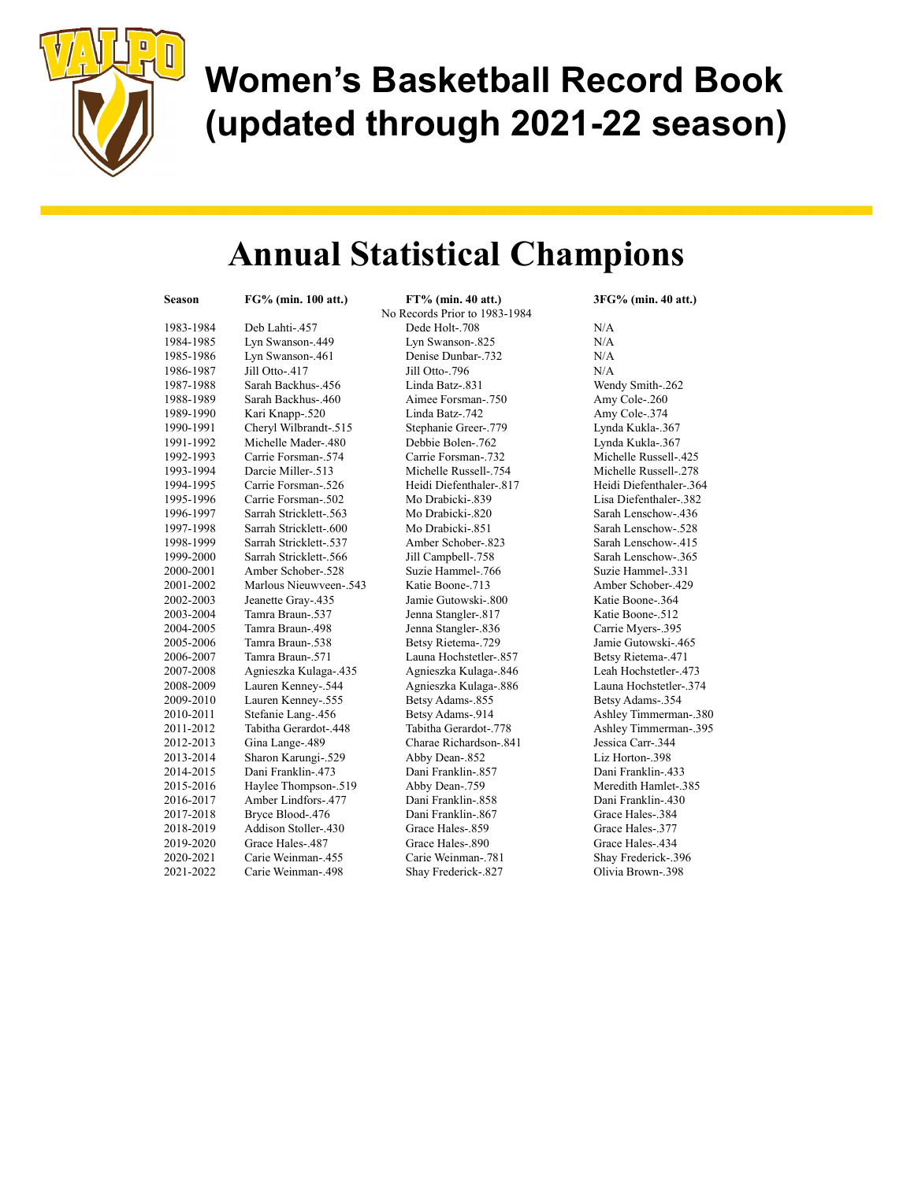

### Annual Statistical Champions

| Season    | FG% (min. 100 att.)    | FT% (min. 40 att.)            | 3FG% (min. 40 att.)       |
|-----------|------------------------|-------------------------------|---------------------------|
|           |                        | No Records Prior to 1983-1984 |                           |
| 1983-1984 | Deb Lahti-.457         | Dede Holt-.708                | N/A                       |
| 1984-1985 | Lyn Swanson-.449       | Lyn Swanson-.825              | N/A                       |
| 1985-1986 | Lyn Swanson-.461       | Denise Dunbar-.732            | N/A                       |
| 1986-1987 | Jill Otto-.417         | Jill Otto-.796                | N/A                       |
| 1987-1988 | Sarah Backhus-.456     | Linda Batz-.831               | Wendy Smith-.262          |
| 1988-1989 | Sarah Backhus-.460     | Aimee Forsman-.750            | Amy Cole-.260             |
| 1989-1990 | Kari Knapp-.520        | Linda Batz-.742               | Amy Cole-.374             |
| 1990-1991 | Cheryl Wilbrandt-.515  | Stephanie Greer-.779          | Lynda Kukla-.367          |
| 1991-1992 | Michelle Mader-.480    | Debbie Bolen-.762             | Lynda Kukla-.367          |
| 1992-1993 | Carrie Forsman-.574    | Carrie Forsman-.732           | Michelle Russell-.425     |
| 1993-1994 | Darcie Miller-.513     | Michelle Russell-.754         | 278.-Michelle Russell     |
| 1994-1995 | Carrie Forsman-.526    | Heidi Diefenthaler-.817       | Heidi Diefenthaler-.3     |
| 1995-1996 | Carrie Forsman-.502    | Mo Drabicki-.839              | Lisa Diefenthaler-.38.    |
| 1996-1997 | Sarrah Stricklett-.563 | Mo Drabicki-.820              | Sarah Lenschow-.436       |
| 1997-1998 | Sarrah Stricklett-.600 | Mo Drabicki-.851              | Sarah Lenschow-.528       |
| 1998-1999 | Sarrah Stricklett-.537 | Amber Schober-.823            | Sarah Lenschow-.415       |
| 1999-2000 | Sarrah Stricklett-.566 | Jill Campbell-.758            | Sarah Lenschow-.365       |
| 2000-2001 | Amber Schober-.528     | Suzie Hammel-.766             | Suzie Hammel-.331         |
| 2001-2002 | Marlous Nieuwveen-.543 | Katie Boone-.713              | Amber Schober-.429        |
| 2002-2003 | Jeanette Gray-.435     | Jamie Gutowski-.800           | Katie Boone-.364          |
| 2003-2004 | Tamra Braun-.537       | Jenna Stangler-.817           | Katie Boone-.512          |
| 2004-2005 | Tamra Braun-.498       | Jenna Stangler-.836           | Carrie Myers-.395         |
| 2005-2006 | Tamra Braun-.538       | Betsy Rietema-.729            | Jamie Gutowski-.465       |
| 2006-2007 | Tamra Braun-.571       | Launa Hochstetler-.857        | Betsy Rietema-.471        |
| 2007-2008 | Agnieszka Kulaga-.435  | Agnieszka Kulaga-.846         | Leah Hochstetler-.473     |
| 2008-2009 | Lauren Kenney-.544     | Agnieszka Kulaga-.886         | Launa Hochstetler-.37     |
| 2009-2010 | Lauren Kenney-.555     | Betsy Adams-.855              | Betsy Adams-.354          |
| 2010-2011 | Stefanie Lang-.456     | Betsy Adams-.914              | Ashley Timmerman-         |
| 2011-2012 | Tabitha Gerardot-.448  | Tabitha Gerardot-.778         | Ashley Timmerman-         |
| 2012-2013 | Gina Lange-.489        | Charae Richardson-.841        | Jessica Carr-.344         |
| 2013-2014 | Sharon Karungi-.529    | Abby Dean-.852                | Liz Horton-.398           |
| 2014-2015 | Dani Franklin-.473     | Dani Franklin-.857            | <b>Dani Franklin-.433</b> |
| 2015-2016 | Haylee Thompson-.519   | Abby Dean-.759                | Meredith Hamlet-.38:      |
| 2016-2017 | Amber Lindfors-.477    | Dani Franklin-.858            | Dani Franklin-.430        |
| 2017-2018 | Bryce Blood-.476       | Dani Franklin-.867            | Grace Hales-.384          |
| 2018-2019 | Addison Stoller-.430   | Grace Hales-.859              | Grace Hales-.377          |
| 2019-2020 | Grace Hales-.487       | Grace Hales-.890              | Grace Hales-.434          |
| 2020-2021 | Carie Weinman-.455     | Carie Weinman-.781            | Shay Frederick-.396       |
| 2021-2022 | Carie Weinman-.498     | Shay Frederick-.827           | Olivia Brown-.398         |
|           |                        |                               |                           |

Wendy Smith-.262 Amy Cole-.260 Amy Cole-.374 Lynda Kukla-.367 Lynda Kukla-.367 Michelle Russell-.425 Michelle Russell-.278 Heidi Diefenthaler-.364 Lisa Diefenthaler-.382 Sarah Lenschow-.436 Sarah Lenschow-.528 Sarah Lenschow-.415 Sarah Lenschow-.365 Suzie Hammel-.331 Amber Schober-.429 Katie Boone-.364 Katie Boone-.512 Carrie Myers-.395 Jamie Gutowski-.465 Betsy Rietema-.471 Leah Hochstetler-.473 Launa Hochstetler-.374 Betsy Adams-.354 Ashley Timmerman-.380 Ashley Timmerman-.395 Jessica Carr-.344 Liz Horton-.398 2014-2015 Dani Franklin-.473 Dani Franklin-.857 Dani Franklin-.433 Meredith Hamlet-.385 Dani Franklin-.430 Grace Hales-.384 Grace Hales-.377 Grace Hales-.434 Shay Frederick-.396 Olivia Brown-.398